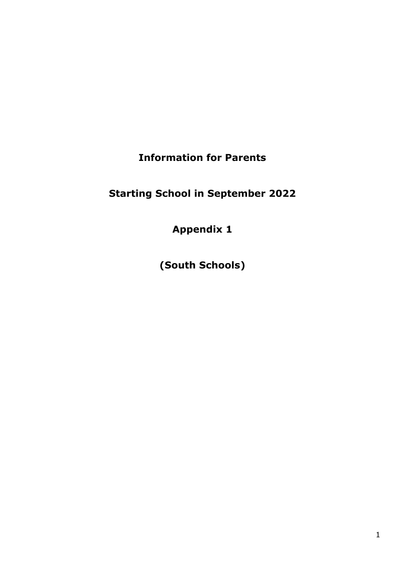**Information for Parents**

**Starting School in September 2022**

**Appendix 1**

**(South Schools)**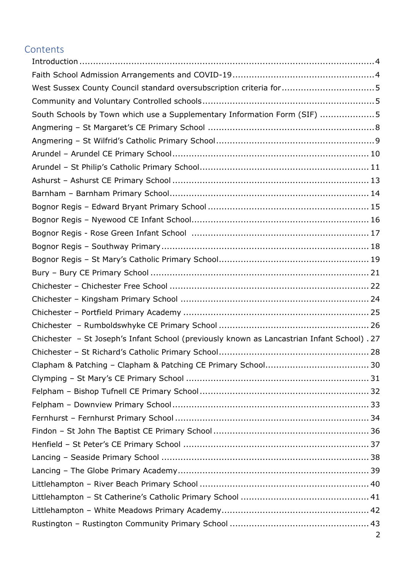# Contents

| West Sussex County Council standard oversubscription criteria for5                          |
|---------------------------------------------------------------------------------------------|
|                                                                                             |
| South Schools by Town which use a Supplementary Information Form (SIF) 5                    |
|                                                                                             |
|                                                                                             |
|                                                                                             |
|                                                                                             |
|                                                                                             |
|                                                                                             |
|                                                                                             |
|                                                                                             |
|                                                                                             |
|                                                                                             |
|                                                                                             |
|                                                                                             |
|                                                                                             |
|                                                                                             |
|                                                                                             |
|                                                                                             |
| Chichester - St Joseph's Infant School (previously known as Lancastrian Infant School) . 27 |
|                                                                                             |
|                                                                                             |
|                                                                                             |
|                                                                                             |
|                                                                                             |
|                                                                                             |
|                                                                                             |
|                                                                                             |
|                                                                                             |
|                                                                                             |
|                                                                                             |
|                                                                                             |
|                                                                                             |
|                                                                                             |
| 2                                                                                           |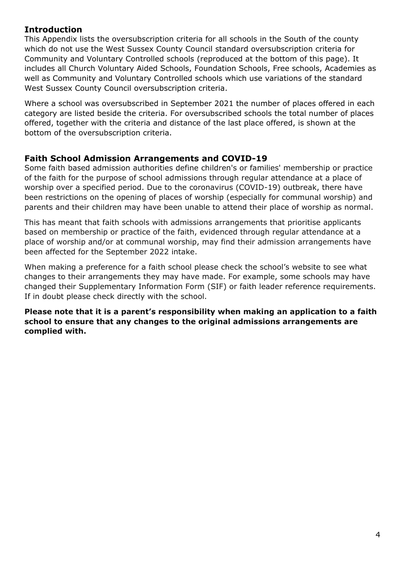#### <span id="page-3-0"></span>**Introduction**

This Appendix lists the oversubscription criteria for all schools in the South of the county which do not use the West Sussex County Council standard oversubscription criteria for Community and Voluntary Controlled schools (reproduced at the bottom of this page). It includes all Church Voluntary Aided Schools, Foundation Schools, Free schools, Academies as well as Community and Voluntary Controlled schools which use variations of the standard West Sussex County Council oversubscription criteria.

Where a school was oversubscribed in September 2021 the number of places offered in each category are listed beside the criteria. For oversubscribed schools the total number of places offered, together with the criteria and distance of the last place offered, is shown at the bottom of the oversubscription criteria.

#### <span id="page-3-1"></span>**Faith School Admission Arrangements and COVID-19**

Some faith based admission authorities define children's or families' membership or practice of the faith for the purpose of school admissions through regular attendance at a place of worship over a specified period. Due to the coronavirus (COVID-19) outbreak, there have been restrictions on the opening of places of worship (especially for communal worship) and parents and their children may have been unable to attend their place of worship as normal.

This has meant that faith schools with admissions arrangements that prioritise applicants based on membership or practice of the faith, evidenced through regular attendance at a place of worship and/or at communal worship, may find their admission arrangements have been affected for the September 2022 intake.

When making a preference for a faith school please check the school's website to see what changes to their arrangements they may have made. For example, some schools may have changed their Supplementary Information Form (SIF) or faith leader reference requirements. If in doubt please check directly with the school.

**Please note that it is a parent's responsibility when making an application to a faith school to ensure that any changes to the original admissions arrangements are complied with.**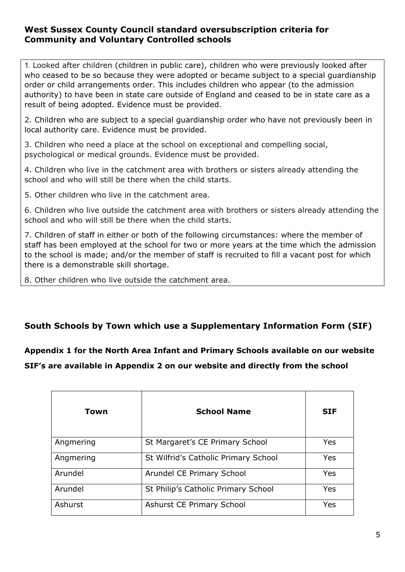#### <span id="page-4-1"></span><span id="page-4-0"></span>**West Sussex County Council standard oversubscription criteria for Community and Voluntary Controlled schools**

1. Looked after children (children in public care), children who were previously looked after who ceased to be so because they were adopted or became subject to a special guardianship order or child arrangements order. This includes children who appear (to the admission authority) to have been in state care outside of England and ceased to be in state care as a result of being adopted. Evidence must be provided.

2. Children who are subject to a special guardianship order who have not previously been in local authority care. Evidence must be provided.

3. Children who need a place at the school on exceptional and compelling social, psychological or medical grounds. Evidence must be provided.

4. Children who live in the catchment area with brothers or sisters already attending the school and who will still be there when the child starts.

5. Other children who live in the catchment area.

6. Children who live outside the catchment area with brothers or sisters already attending the school and who will still be there when the child starts.

7. Children of staff in either or both of the following circumstances: where the member of staff has been employed at the school for two or more years at the time which the admission to the school is made; and/or the member of staff is recruited to fill a vacant post for which there is a demonstrable skill shortage.

8. Other children who live outside the catchment area.

#### <span id="page-4-2"></span>**South Schools by Town which use a Supplementary Information Form (SIF)**

**Appendix 1 for the North Area Infant and Primary Schools available on our website**

**SIF's are available in Appendix 2 on our website and directly from the school**

| Town      | <b>School Name</b>                   | <b>SIF</b> |
|-----------|--------------------------------------|------------|
| Angmering | St Margaret's CE Primary School      | Yes        |
| Angmering | St Wilfrid's Catholic Primary School | Yes        |
| Arundel   | Arundel CE Primary School            | Yes        |
| Arundel   | St Philip's Catholic Primary School  | Yes        |
| Ashurst   | <b>Ashurst CE Primary School</b>     | <b>Yes</b> |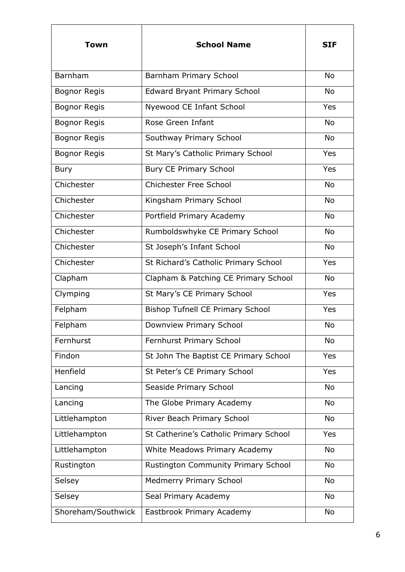| Town                | <b>School Name</b>                         | <b>SIF</b> |
|---------------------|--------------------------------------------|------------|
| <b>Barnham</b>      | Barnham Primary School                     | <b>No</b>  |
| <b>Bognor Regis</b> | <b>Edward Bryant Primary School</b>        | <b>No</b>  |
| <b>Bognor Regis</b> | Nyewood CE Infant School                   | <b>Yes</b> |
| <b>Bognor Regis</b> | Rose Green Infant                          | <b>No</b>  |
| <b>Bognor Regis</b> | Southway Primary School                    | <b>No</b>  |
| <b>Bognor Regis</b> | St Mary's Catholic Primary School          | Yes        |
| <b>Bury</b>         | <b>Bury CE Primary School</b>              | <b>Yes</b> |
| Chichester          | <b>Chichester Free School</b>              | No         |
| Chichester          | Kingsham Primary School                    | <b>No</b>  |
| Chichester          | Portfield Primary Academy                  | <b>No</b>  |
| Chichester          | Rumboldswhyke CE Primary School            | <b>No</b>  |
| Chichester          | St Joseph's Infant School                  | <b>No</b>  |
| Chichester          | St Richard's Catholic Primary School       | Yes        |
| Clapham             | Clapham & Patching CE Primary School       | No         |
| Clymping            | St Mary's CE Primary School                | Yes        |
| Felpham             | <b>Bishop Tufnell CE Primary School</b>    | Yes        |
| Felpham             | Downview Primary School                    | <b>No</b>  |
| Fernhurst           | Fernhurst Primary School                   | <b>No</b>  |
| Findon              | St John The Baptist CE Primary School      | <b>Yes</b> |
| Henfield            | St Peter's CE Primary School               | Yes        |
| Lancing             | Seaside Primary School                     | <b>No</b>  |
| Lancing             | The Globe Primary Academy                  | <b>No</b>  |
| Littlehampton       | River Beach Primary School                 | No         |
| Littlehampton       | St Catherine's Catholic Primary School     | Yes        |
| Littlehampton       | White Meadows Primary Academy              | No         |
| Rustington          | <b>Rustington Community Primary School</b> | No         |
| Selsey              | <b>Medmerry Primary School</b>             | No         |
| Selsey              | Seal Primary Academy                       | <b>No</b>  |
| Shoreham/Southwick  | Eastbrook Primary Academy                  | <b>No</b>  |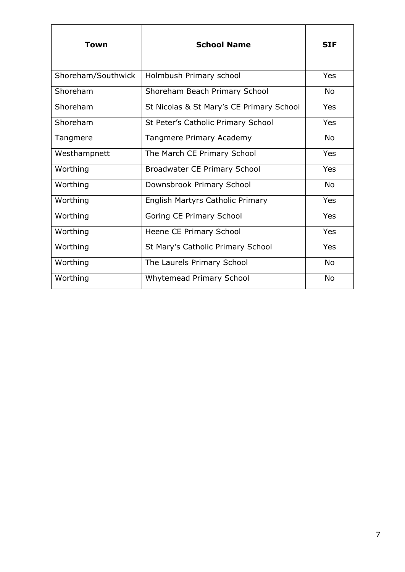| Town               | <b>School Name</b>                       | <b>SIF</b> |
|--------------------|------------------------------------------|------------|
| Shoreham/Southwick | Holmbush Primary school                  | Yes        |
| Shoreham           | Shoreham Beach Primary School            | <b>No</b>  |
| Shoreham           | St Nicolas & St Mary's CE Primary School | Yes        |
| Shoreham           | St Peter's Catholic Primary School       | Yes        |
| Tangmere           | Tangmere Primary Academy                 | <b>No</b>  |
| Westhampnett       | The March CE Primary School              | Yes        |
| Worthing           | <b>Broadwater CE Primary School</b>      | Yes        |
| Worthing           | Downsbrook Primary School                | <b>No</b>  |
| Worthing           | English Martyrs Catholic Primary         | Yes        |
| Worthing           | Goring CE Primary School                 | Yes        |
| Worthing           | Heene CE Primary School                  | Yes        |
| Worthing           | St Mary's Catholic Primary School        | Yes        |
| Worthing           | The Laurels Primary School               | <b>No</b>  |
| Worthing           | <b>Whytemead Primary School</b>          | <b>No</b>  |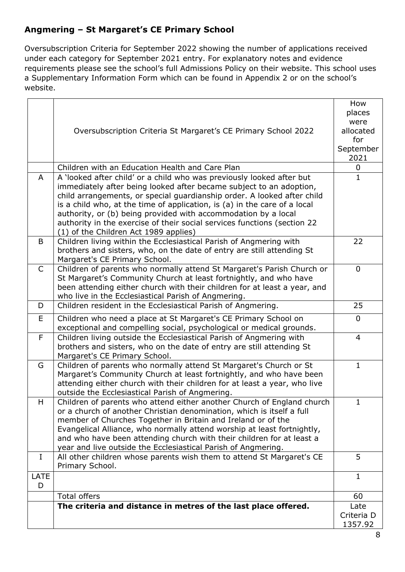## **Angmering – St Margaret's CE Primary School**

Oversubscription Criteria for September 2022 showing the number of applications received under each category for September 2021 entry. For explanatory notes and evidence requirements please see the school's full Admissions Policy on their website. This school uses a Supplementary Information Form which can be found in Appendix 2 or on the school's website.

|              |                                                                           | How          |
|--------------|---------------------------------------------------------------------------|--------------|
|              |                                                                           | places       |
|              |                                                                           | were         |
|              | Oversubscription Criteria St Margaret's CE Primary School 2022            | allocated    |
|              |                                                                           | for          |
|              |                                                                           | September    |
|              |                                                                           | 2021         |
|              | Children with an Education Health and Care Plan                           | 0            |
| A            | A 'looked after child' or a child who was previously looked after but     | 1            |
|              | immediately after being looked after became subject to an adoption,       |              |
|              | child arrangements, or special guardianship order. A looked after child   |              |
|              | is a child who, at the time of application, is (a) in the care of a local |              |
|              | authority, or (b) being provided with accommodation by a local            |              |
|              | authority in the exercise of their social services functions (section 22  |              |
|              | (1) of the Children Act 1989 applies)                                     |              |
| B            | Children living within the Ecclesiastical Parish of Angmering with        | 22           |
|              | brothers and sisters, who, on the date of entry are still attending St    |              |
|              | Margaret's CE Primary School.                                             |              |
| $\mathsf{C}$ | Children of parents who normally attend St Margaret's Parish Church or    | $\Omega$     |
|              | St Margaret's Community Church at least fortnightly, and who have         |              |
|              | been attending either church with their children for at least a year, and |              |
|              | who live in the Ecclesiastical Parish of Angmering.                       |              |
| D            | Children resident in the Ecclesiastical Parish of Angmering.              | 25           |
| E            | Children who need a place at St Margaret's CE Primary School on           | $\mathbf{0}$ |
|              | exceptional and compelling social, psychological or medical grounds.      |              |
| F            | Children living outside the Ecclesiastical Parish of Angmering with       | 4            |
|              | brothers and sisters, who on the date of entry are still attending St     |              |
|              | Margaret's CE Primary School.                                             |              |
| G            | Children of parents who normally attend St Margaret's Church or St        | $\mathbf{1}$ |
|              | Margaret's Community Church at least fortnightly, and who have been       |              |
|              | attending either church with their children for at least a year, who live |              |
|              | outside the Ecclesiastical Parish of Angmering.                           |              |
| H            | Children of parents who attend either another Church of England church    | 1            |
|              | or a church of another Christian denomination, which is itself a full     |              |
|              | member of Churches Together in Britain and Ireland or of the              |              |
|              | Evangelical Alliance, who normally attend worship at least fortnightly,   |              |
|              | and who have been attending church with their children for at least a     |              |
|              | year and live outside the Ecclesiastical Parish of Angmering.             |              |
| $\mathbf I$  | All other children whose parents wish them to attend St Margaret's CE     | 5            |
|              | Primary School.                                                           |              |
| <b>LATE</b>  |                                                                           | $\mathbf{1}$ |
| D            |                                                                           |              |
|              | <b>Total offers</b>                                                       | 60           |
|              | The criteria and distance in metres of the last place offered.            | Late         |
|              |                                                                           | Criteria D   |
|              |                                                                           | 1357.92      |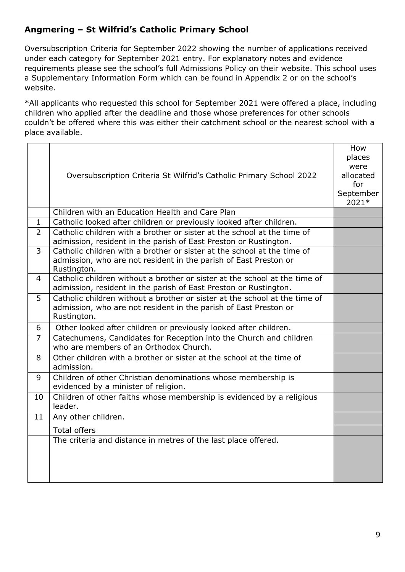### **Angmering – St Wilfrid's Catholic Primary School**

Oversubscription Criteria for September 2022 showing the number of applications received under each category for September 2021 entry. For explanatory notes and evidence requirements please see the school's full Admissions Policy on their website. This school uses a Supplementary Information Form which can be found in Appendix 2 or on the school's website.

|                | Oversubscription Criteria St Wilfrid's Catholic Primary School 2022                                                                                           | How<br>places<br>were<br>allocated<br>for<br>September<br>2021* |
|----------------|---------------------------------------------------------------------------------------------------------------------------------------------------------------|-----------------------------------------------------------------|
|                | Children with an Education Health and Care Plan                                                                                                               |                                                                 |
| $\mathbf 1$    | Catholic looked after children or previously looked after children.                                                                                           |                                                                 |
| $\overline{2}$ | Catholic children with a brother or sister at the school at the time of<br>admission, resident in the parish of East Preston or Rustington.                   |                                                                 |
| $\overline{3}$ | Catholic children with a brother or sister at the school at the time of<br>admission, who are not resident in the parish of East Preston or<br>Rustington.    |                                                                 |
| $\overline{4}$ | Catholic children without a brother or sister at the school at the time of<br>admission, resident in the parish of East Preston or Rustington.                |                                                                 |
| 5              | Catholic children without a brother or sister at the school at the time of<br>admission, who are not resident in the parish of East Preston or<br>Rustington. |                                                                 |
| 6              | Other looked after children or previously looked after children.                                                                                              |                                                                 |
| $\overline{7}$ | Catechumens, Candidates for Reception into the Church and children<br>who are members of an Orthodox Church.                                                  |                                                                 |
| 8              | Other children with a brother or sister at the school at the time of<br>admission.                                                                            |                                                                 |
| 9              | Children of other Christian denominations whose membership is<br>evidenced by a minister of religion.                                                         |                                                                 |
| 10             | Children of other faiths whose membership is evidenced by a religious<br>leader.                                                                              |                                                                 |
| 11             | Any other children.                                                                                                                                           |                                                                 |
|                | <b>Total offers</b>                                                                                                                                           |                                                                 |
|                | The criteria and distance in metres of the last place offered.                                                                                                |                                                                 |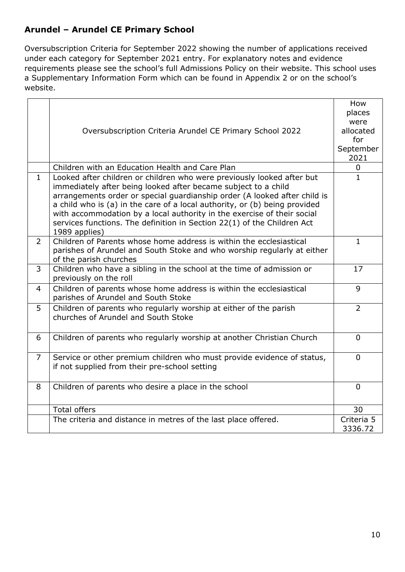## <span id="page-9-0"></span>**Arundel – Arundel CE Primary School**

Oversubscription Criteria for September 2022 showing the number of applications received under each category for September 2021 entry. For explanatory notes and evidence requirements please see the school's full Admissions Policy on their website. This school uses a Supplementary Information Form which can be found in Appendix 2 or on the school's website.

|                | Oversubscription Criteria Arundel CE Primary School 2022                                                                                                                                                                                                                                                                                                                                                                                                                   | How<br>places<br>were<br>allocated<br>for<br>September |
|----------------|----------------------------------------------------------------------------------------------------------------------------------------------------------------------------------------------------------------------------------------------------------------------------------------------------------------------------------------------------------------------------------------------------------------------------------------------------------------------------|--------------------------------------------------------|
|                |                                                                                                                                                                                                                                                                                                                                                                                                                                                                            | 2021                                                   |
|                | Children with an Education Health and Care Plan                                                                                                                                                                                                                                                                                                                                                                                                                            | $\boldsymbol{0}$                                       |
| $\mathbf{1}$   | Looked after children or children who were previously looked after but<br>immediately after being looked after became subject to a child<br>arrangements order or special guardianship order (A looked after child is<br>a child who is (a) in the care of a local authority, or (b) being provided<br>with accommodation by a local authority in the exercise of their social<br>services functions. The definition in Section 22(1) of the Children Act<br>1989 applies) | $\overline{1}$                                         |
| $\overline{2}$ | Children of Parents whose home address is within the ecclesiastical<br>parishes of Arundel and South Stoke and who worship regularly at either<br>of the parish churches                                                                                                                                                                                                                                                                                                   | $\mathbf{1}$                                           |
| 3              | Children who have a sibling in the school at the time of admission or<br>previously on the roll                                                                                                                                                                                                                                                                                                                                                                            | 17                                                     |
| 4              | Children of parents whose home address is within the ecclesiastical<br>parishes of Arundel and South Stoke                                                                                                                                                                                                                                                                                                                                                                 | 9                                                      |
| 5              | Children of parents who regularly worship at either of the parish<br>churches of Arundel and South Stoke                                                                                                                                                                                                                                                                                                                                                                   | $\overline{2}$                                         |
| 6              | Children of parents who regularly worship at another Christian Church                                                                                                                                                                                                                                                                                                                                                                                                      | $\Omega$                                               |
| $\overline{7}$ | Service or other premium children who must provide evidence of status,<br>if not supplied from their pre-school setting                                                                                                                                                                                                                                                                                                                                                    | $\Omega$                                               |
| 8              | Children of parents who desire a place in the school                                                                                                                                                                                                                                                                                                                                                                                                                       | $\overline{0}$                                         |
|                | <b>Total offers</b>                                                                                                                                                                                                                                                                                                                                                                                                                                                        | 30                                                     |
|                | The criteria and distance in metres of the last place offered.                                                                                                                                                                                                                                                                                                                                                                                                             | Criteria 5<br>3336.72                                  |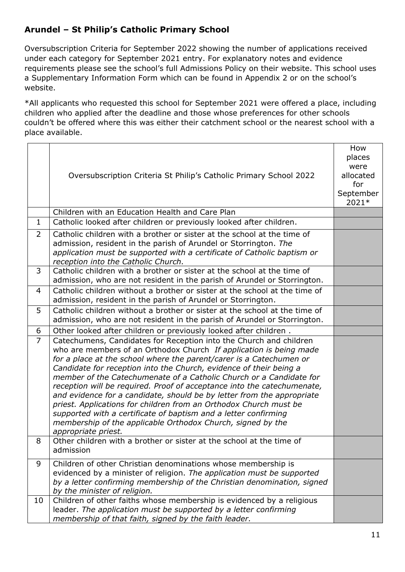## <span id="page-10-0"></span>**Arundel – St Philip's Catholic Primary School**

Oversubscription Criteria for September 2022 showing the number of applications received under each category for September 2021 entry. For explanatory notes and evidence requirements please see the school's full Admissions Policy on their website. This school uses a Supplementary Information Form which can be found in Appendix 2 or on the school's website.

|                | Oversubscription Criteria St Philip's Catholic Primary School 2022                                                                                                                                                                                                                                                                                                                                                                                                                                                                                                                                                                                                                                                                              | How<br>places<br>were<br>allocated<br>for<br>September<br>2021* |
|----------------|-------------------------------------------------------------------------------------------------------------------------------------------------------------------------------------------------------------------------------------------------------------------------------------------------------------------------------------------------------------------------------------------------------------------------------------------------------------------------------------------------------------------------------------------------------------------------------------------------------------------------------------------------------------------------------------------------------------------------------------------------|-----------------------------------------------------------------|
|                | Children with an Education Health and Care Plan                                                                                                                                                                                                                                                                                                                                                                                                                                                                                                                                                                                                                                                                                                 |                                                                 |
| $\mathbf{1}$   | Catholic looked after children or previously looked after children.                                                                                                                                                                                                                                                                                                                                                                                                                                                                                                                                                                                                                                                                             |                                                                 |
| $\overline{2}$ | Catholic children with a brother or sister at the school at the time of<br>admission, resident in the parish of Arundel or Storrington. The<br>application must be supported with a certificate of Catholic baptism or<br>reception into the Catholic Church.                                                                                                                                                                                                                                                                                                                                                                                                                                                                                   |                                                                 |
| 3              | Catholic children with a brother or sister at the school at the time of<br>admission, who are not resident in the parish of Arundel or Storrington.                                                                                                                                                                                                                                                                                                                                                                                                                                                                                                                                                                                             |                                                                 |
| $\overline{4}$ | Catholic children without a brother or sister at the school at the time of<br>admission, resident in the parish of Arundel or Storrington.                                                                                                                                                                                                                                                                                                                                                                                                                                                                                                                                                                                                      |                                                                 |
| 5              | Catholic children without a brother or sister at the school at the time of<br>admission, who are not resident in the parish of Arundel or Storrington.                                                                                                                                                                                                                                                                                                                                                                                                                                                                                                                                                                                          |                                                                 |
| 6              | Other looked after children or previously looked after children.                                                                                                                                                                                                                                                                                                                                                                                                                                                                                                                                                                                                                                                                                |                                                                 |
| $\overline{7}$ | Catechumens, Candidates for Reception into the Church and children<br>who are members of an Orthodox Church If application is being made<br>for a place at the school where the parent/carer is a Catechumen or<br>Candidate for reception into the Church, evidence of their being a<br>member of the Catechumenate of a Catholic Church or a Candidate for<br>reception will be required. Proof of acceptance into the catechumenate,<br>and evidence for a candidate, should be by letter from the appropriate<br>priest. Applications for children from an Orthodox Church must be<br>supported with a certificate of baptism and a letter confirming<br>membership of the applicable Orthodox Church, signed by the<br>appropriate priest. |                                                                 |
| 8              | Other children with a brother or sister at the school at the time of<br>admission                                                                                                                                                                                                                                                                                                                                                                                                                                                                                                                                                                                                                                                               |                                                                 |
| 9              | Children of other Christian denominations whose membership is<br>evidenced by a minister of religion. The application must be supported<br>by a letter confirming membership of the Christian denomination, signed<br>by the minister of religion.                                                                                                                                                                                                                                                                                                                                                                                                                                                                                              |                                                                 |
| 10             | Children of other faiths whose membership is evidenced by a religious<br>leader. The application must be supported by a letter confirming<br>membership of that faith, signed by the faith leader.                                                                                                                                                                                                                                                                                                                                                                                                                                                                                                                                              |                                                                 |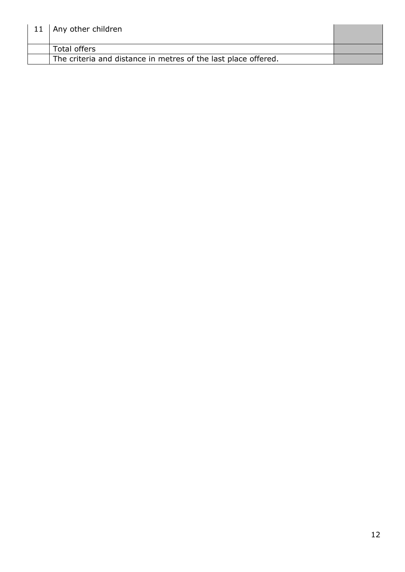| 11   Any other children                                        |  |
|----------------------------------------------------------------|--|
| Total offers                                                   |  |
| The criteria and distance in metres of the last place offered. |  |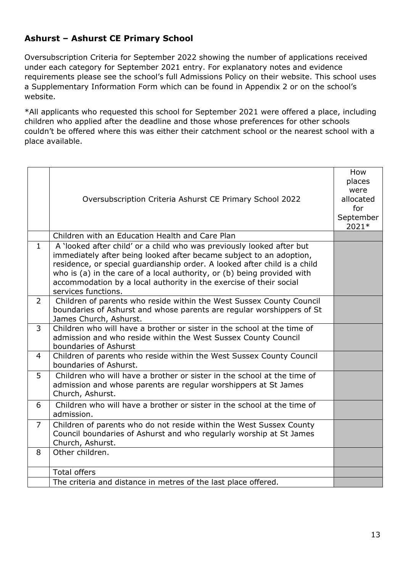### <span id="page-12-0"></span>**Ashurst – Ashurst CE Primary School**

Oversubscription Criteria for September 2022 showing the number of applications received under each category for September 2021 entry. For explanatory notes and evidence requirements please see the school's full Admissions Policy on their website. This school uses a Supplementary Information Form which can be found in Appendix 2 or on the school's website.

|                | Oversubscription Criteria Ashurst CE Primary School 2022                                                                                                                                                                                                                                                                                                                                          | How<br>places<br>were<br>allocated<br>for<br>September<br>2021* |
|----------------|---------------------------------------------------------------------------------------------------------------------------------------------------------------------------------------------------------------------------------------------------------------------------------------------------------------------------------------------------------------------------------------------------|-----------------------------------------------------------------|
|                | Children with an Education Health and Care Plan                                                                                                                                                                                                                                                                                                                                                   |                                                                 |
| $\mathbf{1}$   | A 'looked after child' or a child who was previously looked after but<br>immediately after being looked after became subject to an adoption,<br>residence, or special guardianship order. A looked after child is a child<br>who is (a) in the care of a local authority, or (b) being provided with<br>accommodation by a local authority in the exercise of their social<br>services functions. |                                                                 |
| $\overline{2}$ | Children of parents who reside within the West Sussex County Council<br>boundaries of Ashurst and whose parents are regular worshippers of St<br>James Church, Ashurst.                                                                                                                                                                                                                           |                                                                 |
| 3              | Children who will have a brother or sister in the school at the time of<br>admission and who reside within the West Sussex County Council<br>boundaries of Ashurst                                                                                                                                                                                                                                |                                                                 |
| 4              | Children of parents who reside within the West Sussex County Council<br>boundaries of Ashurst.                                                                                                                                                                                                                                                                                                    |                                                                 |
| 5              | Children who will have a brother or sister in the school at the time of<br>admission and whose parents are regular worshippers at St James<br>Church, Ashurst.                                                                                                                                                                                                                                    |                                                                 |
| 6              | Children who will have a brother or sister in the school at the time of<br>admission.                                                                                                                                                                                                                                                                                                             |                                                                 |
| $\overline{7}$ | Children of parents who do not reside within the West Sussex County<br>Council boundaries of Ashurst and who regularly worship at St James<br>Church, Ashurst.                                                                                                                                                                                                                                    |                                                                 |
| 8              | Other children.                                                                                                                                                                                                                                                                                                                                                                                   |                                                                 |
|                | <b>Total offers</b>                                                                                                                                                                                                                                                                                                                                                                               |                                                                 |
|                | The criteria and distance in metres of the last place offered.                                                                                                                                                                                                                                                                                                                                    |                                                                 |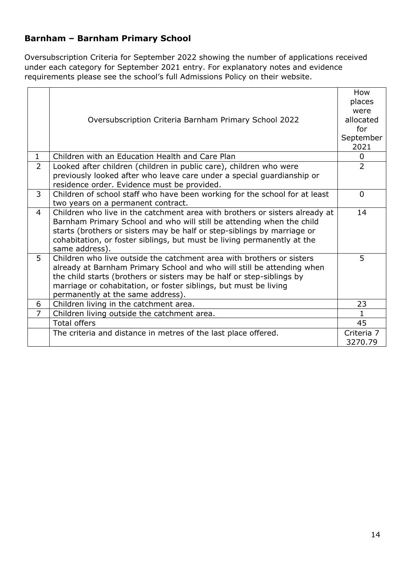### <span id="page-13-0"></span>**Barnham – Barnham Primary School**

Oversubscription Criteria for September 2022 showing the number of applications received under each category for September 2021 entry. For explanatory notes and evidence requirements please see the school's full Admissions Policy on their website.

|                |                                                                             | How<br>places  |
|----------------|-----------------------------------------------------------------------------|----------------|
|                |                                                                             | were           |
|                | Oversubscription Criteria Barnham Primary School 2022                       | allocated      |
|                |                                                                             | for            |
|                |                                                                             | September      |
|                |                                                                             | 2021           |
| $\mathbf{1}$   | Children with an Education Health and Care Plan                             | $\Omega$       |
| $\overline{2}$ | Looked after children (children in public care), children who were          | $\overline{2}$ |
|                | previously looked after who leave care under a special guardianship or      |                |
|                | residence order. Evidence must be provided.                                 |                |
| $\mathbf{3}$   | Children of school staff who have been working for the school for at least  | $\Omega$       |
|                | two years on a permanent contract.                                          |                |
| $\overline{4}$ | Children who live in the catchment area with brothers or sisters already at | 14             |
|                | Barnham Primary School and who will still be attending when the child       |                |
|                | starts (brothers or sisters may be half or step-siblings by marriage or     |                |
|                | cohabitation, or foster siblings, but must be living permanently at the     |                |
|                | same address).                                                              |                |
| 5              | Children who live outside the catchment area with brothers or sisters       | 5              |
|                | already at Barnham Primary School and who will still be attending when      |                |
|                | the child starts (brothers or sisters may be half or step-siblings by       |                |
|                | marriage or cohabitation, or foster siblings, but must be living            |                |
|                | permanently at the same address).                                           |                |
| 6              | Children living in the catchment area.                                      | 23             |
| $\overline{7}$ | Children living outside the catchment area.                                 |                |
|                | <b>Total offers</b>                                                         | 45             |
|                | The criteria and distance in metres of the last place offered.              | Criteria 7     |
|                |                                                                             | 3270.79        |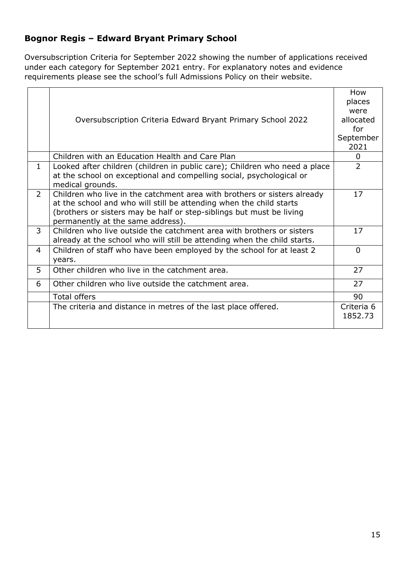### <span id="page-14-0"></span>**Bognor Regis – Edward Bryant Primary School**

Oversubscription Criteria for September 2022 showing the number of applications received under each category for September 2021 entry. For explanatory notes and evidence requirements please see the school's full Admissions Policy on their website.

|                | Oversubscription Criteria Edward Bryant Primary School 2022                                                                                                                                                                                                  | How<br>places<br>were<br>allocated<br>for<br>September<br>2021 |
|----------------|--------------------------------------------------------------------------------------------------------------------------------------------------------------------------------------------------------------------------------------------------------------|----------------------------------------------------------------|
|                | Children with an Education Health and Care Plan                                                                                                                                                                                                              | $\Omega$                                                       |
| $\mathbf{1}$   | Looked after children (children in public care); Children who need a place<br>at the school on exceptional and compelling social, psychological or<br>medical grounds.                                                                                       | $\overline{2}$                                                 |
| $\overline{2}$ | Children who live in the catchment area with brothers or sisters already<br>at the school and who will still be attending when the child starts<br>(brothers or sisters may be half or step-siblings but must be living<br>permanently at the same address). | 17                                                             |
| 3              | Children who live outside the catchment area with brothers or sisters<br>already at the school who will still be attending when the child starts.                                                                                                            | 17                                                             |
| 4              | Children of staff who have been employed by the school for at least 2<br>years.                                                                                                                                                                              | $\mathbf{0}$                                                   |
| 5              | Other children who live in the catchment area.                                                                                                                                                                                                               | 27                                                             |
| 6              | Other children who live outside the catchment area.                                                                                                                                                                                                          | 27                                                             |
|                | <b>Total offers</b>                                                                                                                                                                                                                                          | 90                                                             |
|                | The criteria and distance in metres of the last place offered.                                                                                                                                                                                               | Criteria 6<br>1852.73                                          |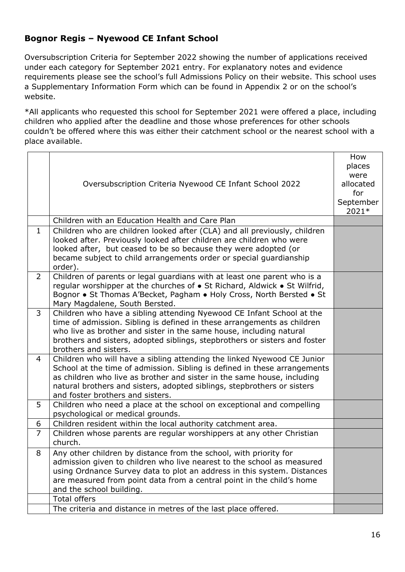### <span id="page-15-0"></span>**Bognor Regis – Nyewood CE Infant School**

Oversubscription Criteria for September 2022 showing the number of applications received under each category for September 2021 entry. For explanatory notes and evidence requirements please see the school's full Admissions Policy on their website. This school uses a Supplementary Information Form which can be found in Appendix 2 or on the school's website.

|                | Oversubscription Criteria Nyewood CE Infant School 2022                                                                                                                                                                                                                                                                                        | How<br>places<br>were<br>allocated<br>for<br>September<br>2021* |
|----------------|------------------------------------------------------------------------------------------------------------------------------------------------------------------------------------------------------------------------------------------------------------------------------------------------------------------------------------------------|-----------------------------------------------------------------|
|                | Children with an Education Health and Care Plan                                                                                                                                                                                                                                                                                                |                                                                 |
| $\mathbf{1}$   | Children who are children looked after (CLA) and all previously, children<br>looked after. Previously looked after children are children who were<br>looked after, but ceased to be so because they were adopted (or<br>became subject to child arrangements order or special guardianship<br>order).                                          |                                                                 |
| $\overline{2}$ | Children of parents or legal guardians with at least one parent who is a<br>regular worshipper at the churches of • St Richard, Aldwick • St Wilfrid,<br>Bognor • St Thomas A'Becket, Pagham • Holy Cross, North Bersted • St<br>Mary Magdalene, South Bersted.                                                                                |                                                                 |
| 3              | Children who have a sibling attending Nyewood CE Infant School at the<br>time of admission. Sibling is defined in these arrangements as children<br>who live as brother and sister in the same house, including natural<br>brothers and sisters, adopted siblings, stepbrothers or sisters and foster<br>brothers and sisters.                 |                                                                 |
| $\overline{4}$ | Children who will have a sibling attending the linked Nyewood CE Junior<br>School at the time of admission. Sibling is defined in these arrangements<br>as children who live as brother and sister in the same house, including<br>natural brothers and sisters, adopted siblings, stepbrothers or sisters<br>and foster brothers and sisters. |                                                                 |
| 5              | Children who need a place at the school on exceptional and compelling<br>psychological or medical grounds.                                                                                                                                                                                                                                     |                                                                 |
| 6              | Children resident within the local authority catchment area.                                                                                                                                                                                                                                                                                   |                                                                 |
| $\overline{7}$ | Children whose parents are regular worshippers at any other Christian<br>church.                                                                                                                                                                                                                                                               |                                                                 |
| 8              | Any other children by distance from the school, with priority for<br>admission given to children who live nearest to the school as measured<br>using Ordnance Survey data to plot an address in this system. Distances<br>are measured from point data from a central point in the child's home<br>and the school building.                    |                                                                 |
|                | <b>Total offers</b>                                                                                                                                                                                                                                                                                                                            |                                                                 |
|                | The criteria and distance in metres of the last place offered.                                                                                                                                                                                                                                                                                 |                                                                 |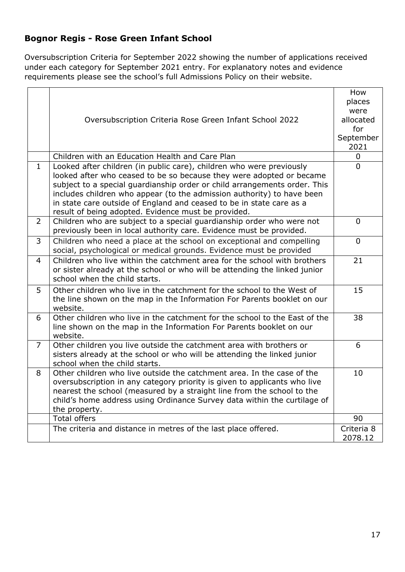### <span id="page-16-0"></span>**Bognor Regis - Rose Green Infant School**

Oversubscription Criteria for September 2022 showing the number of applications received under each category for September 2021 entry. For explanatory notes and evidence requirements please see the school's full Admissions Policy on their website.

|                |                                                                            | How            |
|----------------|----------------------------------------------------------------------------|----------------|
|                |                                                                            | places         |
|                |                                                                            | were           |
|                | Oversubscription Criteria Rose Green Infant School 2022                    | allocated      |
|                |                                                                            | for            |
|                |                                                                            | September      |
|                |                                                                            | 2021           |
|                | Children with an Education Health and Care Plan                            | 0              |
| $\mathbf{1}$   | Looked after children (in public care), children who were previously       | $\Omega$       |
|                | looked after who ceased to be so because they were adopted or became       |                |
|                | subject to a special guardianship order or child arrangements order. This  |                |
|                | includes children who appear (to the admission authority) to have been     |                |
|                | in state care outside of England and ceased to be in state care as a       |                |
|                | result of being adopted. Evidence must be provided.                        |                |
| $\overline{2}$ | Children who are subject to a special guardianship order who were not      | $\Omega$       |
|                | previously been in local authority care. Evidence must be provided.        |                |
| $\overline{3}$ | Children who need a place at the school on exceptional and compelling      | $\overline{0}$ |
|                | social, psychological or medical grounds. Evidence must be provided        |                |
| $\overline{4}$ | Children who live within the catchment area for the school with brothers   | 21             |
|                | or sister already at the school or who will be attending the linked junior |                |
|                | school when the child starts.                                              |                |
| 5              | Other children who live in the catchment for the school to the West of     | 15             |
|                | the line shown on the map in the Information For Parents booklet on our    |                |
|                | website.                                                                   |                |
| 6              | Other children who live in the catchment for the school to the East of the | 38             |
|                | line shown on the map in the Information For Parents booklet on our        |                |
|                | website.                                                                   |                |
| $\overline{7}$ | Other children you live outside the catchment area with brothers or        | 6              |
|                | sisters already at the school or who will be attending the linked junior   |                |
|                | school when the child starts.                                              |                |
| 8              | Other children who live outside the catchment area. In the case of the     | 10             |
|                | oversubscription in any category priority is given to applicants who live  |                |
|                | nearest the school (measured by a straight line from the school to the     |                |
|                | child's home address using Ordinance Survey data within the curtilage of   |                |
|                | the property.                                                              |                |
|                | <b>Total offers</b>                                                        | 90             |
|                | The criteria and distance in metres of the last place offered.             | Criteria 8     |
|                |                                                                            | 2078.12        |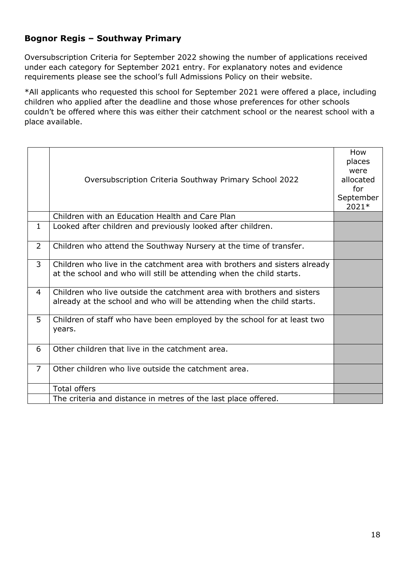#### <span id="page-17-0"></span>**Bognor Regis – Southway Primary**

Oversubscription Criteria for September 2022 showing the number of applications received under each category for September 2021 entry. For explanatory notes and evidence requirements please see the school's full Admissions Policy on their website.

|                | Oversubscription Criteria Southway Primary School 2022                                                                                            | How<br>places<br>were<br>allocated<br>for<br>September<br>2021* |
|----------------|---------------------------------------------------------------------------------------------------------------------------------------------------|-----------------------------------------------------------------|
|                | Children with an Education Health and Care Plan                                                                                                   |                                                                 |
| $\mathbf{1}$   | Looked after children and previously looked after children.                                                                                       |                                                                 |
| $\overline{2}$ | Children who attend the Southway Nursery at the time of transfer.                                                                                 |                                                                 |
| 3              | Children who live in the catchment area with brothers and sisters already<br>at the school and who will still be attending when the child starts. |                                                                 |
| 4              | Children who live outside the catchment area with brothers and sisters<br>already at the school and who will be attending when the child starts.  |                                                                 |
| 5              | Children of staff who have been employed by the school for at least two<br>years.                                                                 |                                                                 |
| 6              | Other children that live in the catchment area.                                                                                                   |                                                                 |
| $\overline{7}$ | Other children who live outside the catchment area.                                                                                               |                                                                 |
|                | <b>Total offers</b>                                                                                                                               |                                                                 |
|                | The criteria and distance in metres of the last place offered.                                                                                    |                                                                 |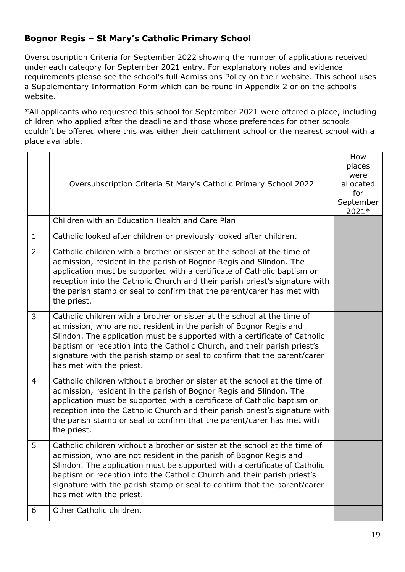### <span id="page-18-0"></span>**Bognor Regis – St Mary's Catholic Primary School**

Oversubscription Criteria for September 2022 showing the number of applications received under each category for September 2021 entry. For explanatory notes and evidence requirements please see the school's full Admissions Policy on their website. This school uses a Supplementary Information Form which can be found in Appendix 2 or on the school's website.

|                | Oversubscription Criteria St Mary's Catholic Primary School 2022                                                                                                                                                                                                                                                                                                                                                | How<br>places<br>were<br>allocated<br>for<br>September<br>2021* |
|----------------|-----------------------------------------------------------------------------------------------------------------------------------------------------------------------------------------------------------------------------------------------------------------------------------------------------------------------------------------------------------------------------------------------------------------|-----------------------------------------------------------------|
|                | Children with an Education Health and Care Plan                                                                                                                                                                                                                                                                                                                                                                 |                                                                 |
| $\mathbf{1}$   | Catholic looked after children or previously looked after children.                                                                                                                                                                                                                                                                                                                                             |                                                                 |
| $\overline{2}$ | Catholic children with a brother or sister at the school at the time of<br>admission, resident in the parish of Bognor Regis and Slindon. The<br>application must be supported with a certificate of Catholic baptism or<br>reception into the Catholic Church and their parish priest's signature with<br>the parish stamp or seal to confirm that the parent/carer has met with<br>the priest.                |                                                                 |
| 3              | Catholic children with a brother or sister at the school at the time of<br>admission, who are not resident in the parish of Bognor Regis and<br>Slindon. The application must be supported with a certificate of Catholic<br>baptism or reception into the Catholic Church, and their parish priest's<br>signature with the parish stamp or seal to confirm that the parent/carer<br>has met with the priest.   |                                                                 |
| $\overline{4}$ | Catholic children without a brother or sister at the school at the time of<br>admission, resident in the parish of Bognor Regis and Slindon. The<br>application must be supported with a certificate of Catholic baptism or<br>reception into the Catholic Church and their parish priest's signature with<br>the parish stamp or seal to confirm that the parent/carer has met with<br>the priest.             |                                                                 |
| 5              | Catholic children without a brother or sister at the school at the time of<br>admission, who are not resident in the parish of Bognor Regis and<br>Slindon. The application must be supported with a certificate of Catholic<br>baptism or reception into the Catholic Church and their parish priest's<br>signature with the parish stamp or seal to confirm that the parent/carer<br>has met with the priest. |                                                                 |
| 6              | Other Catholic children.                                                                                                                                                                                                                                                                                                                                                                                        |                                                                 |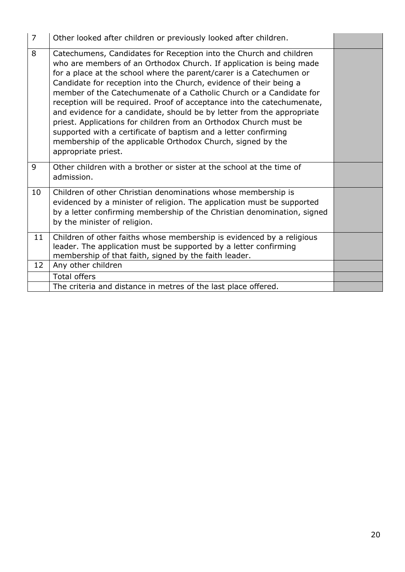| $\overline{7}$ | Other looked after children or previously looked after children.                                                                                                                                                                                                                                                                                                                                                                                                                                                                                                                                                                                                                                                                                 |  |
|----------------|--------------------------------------------------------------------------------------------------------------------------------------------------------------------------------------------------------------------------------------------------------------------------------------------------------------------------------------------------------------------------------------------------------------------------------------------------------------------------------------------------------------------------------------------------------------------------------------------------------------------------------------------------------------------------------------------------------------------------------------------------|--|
| 8              | Catechumens, Candidates for Reception into the Church and children<br>who are members of an Orthodox Church. If application is being made<br>for a place at the school where the parent/carer is a Catechumen or<br>Candidate for reception into the Church, evidence of their being a<br>member of the Catechumenate of a Catholic Church or a Candidate for<br>reception will be required. Proof of acceptance into the catechumenate,<br>and evidence for a candidate, should be by letter from the appropriate<br>priest. Applications for children from an Orthodox Church must be<br>supported with a certificate of baptism and a letter confirming<br>membership of the applicable Orthodox Church, signed by the<br>appropriate priest. |  |
| 9              | Other children with a brother or sister at the school at the time of<br>admission.                                                                                                                                                                                                                                                                                                                                                                                                                                                                                                                                                                                                                                                               |  |
| 10             | Children of other Christian denominations whose membership is<br>evidenced by a minister of religion. The application must be supported<br>by a letter confirming membership of the Christian denomination, signed<br>by the minister of religion.                                                                                                                                                                                                                                                                                                                                                                                                                                                                                               |  |
| 11             | Children of other faiths whose membership is evidenced by a religious<br>leader. The application must be supported by a letter confirming<br>membership of that faith, signed by the faith leader.                                                                                                                                                                                                                                                                                                                                                                                                                                                                                                                                               |  |
| 12             | Any other children                                                                                                                                                                                                                                                                                                                                                                                                                                                                                                                                                                                                                                                                                                                               |  |
|                | <b>Total offers</b>                                                                                                                                                                                                                                                                                                                                                                                                                                                                                                                                                                                                                                                                                                                              |  |
|                | The criteria and distance in metres of the last place offered.                                                                                                                                                                                                                                                                                                                                                                                                                                                                                                                                                                                                                                                                                   |  |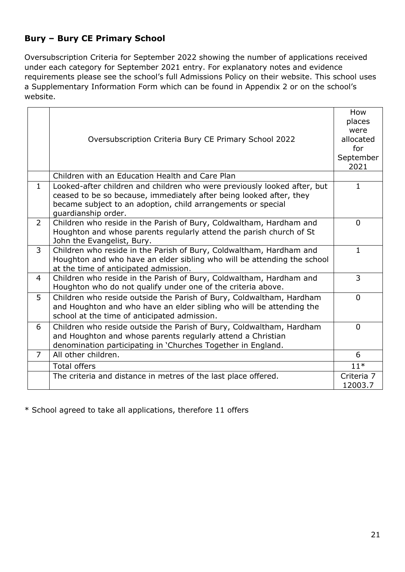### <span id="page-20-0"></span>**Bury – Bury CE Primary School**

Oversubscription Criteria for September 2022 showing the number of applications received under each category for September 2021 entry. For explanatory notes and evidence requirements please see the school's full Admissions Policy on their website. This school uses a Supplementary Information Form which can be found in Appendix 2 or on the school's website.

|                | Oversubscription Criteria Bury CE Primary School 2022                                                                                                                                                                                  | How<br>places<br>were<br>allocated<br>for<br>September<br>2021 |
|----------------|----------------------------------------------------------------------------------------------------------------------------------------------------------------------------------------------------------------------------------------|----------------------------------------------------------------|
|                | Children with an Education Health and Care Plan                                                                                                                                                                                        |                                                                |
| $\mathbf{1}$   | Looked-after children and children who were previously looked after, but<br>ceased to be so because, immediately after being looked after, they<br>became subject to an adoption, child arrangements or special<br>guardianship order. | $\mathbf{1}$                                                   |
| $\overline{2}$ | Children who reside in the Parish of Bury, Coldwaltham, Hardham and<br>Houghton and whose parents regularly attend the parish church of St<br>John the Evangelist, Bury.                                                               | $\mathbf{0}$                                                   |
| 3              | Children who reside in the Parish of Bury, Coldwaltham, Hardham and<br>Houghton and who have an elder sibling who will be attending the school<br>at the time of anticipated admission.                                                | $\mathbf{1}$                                                   |
| 4              | Children who reside in the Parish of Bury, Coldwaltham, Hardham and<br>Houghton who do not qualify under one of the criteria above.                                                                                                    | 3                                                              |
| 5              | Children who reside outside the Parish of Bury, Coldwaltham, Hardham<br>and Houghton and who have an elder sibling who will be attending the<br>school at the time of anticipated admission.                                           | $\overline{0}$                                                 |
| 6              | Children who reside outside the Parish of Bury, Coldwaltham, Hardham<br>and Houghton and whose parents regularly attend a Christian<br>denomination participating in 'Churches Together in England.                                    | $\Omega$                                                       |
| $\overline{7}$ | All other children.                                                                                                                                                                                                                    | 6                                                              |
|                | <b>Total offers</b>                                                                                                                                                                                                                    | $11*$                                                          |
|                | The criteria and distance in metres of the last place offered.                                                                                                                                                                         | Criteria 7<br>12003.7                                          |

\* School agreed to take all applications, therefore 11 offers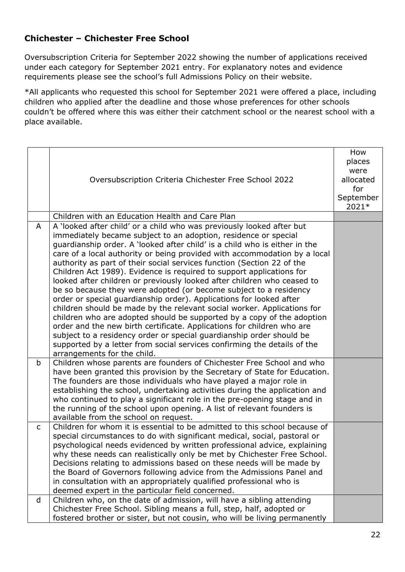#### <span id="page-21-0"></span>**Chichester – Chichester Free School**

Oversubscription Criteria for September 2022 showing the number of applications received under each category for September 2021 entry. For explanatory notes and evidence requirements please see the school's full Admissions Policy on their website.

|              | Oversubscription Criteria Chichester Free School 2022                                                                                                                                                                                                                                                                                                                                                                                                                                                                                                                                                                                                                                                                                                                                                                                                                                                                                                                                                                                                                                          | How<br>places<br>were<br>allocated<br>for<br>September<br>2021* |
|--------------|------------------------------------------------------------------------------------------------------------------------------------------------------------------------------------------------------------------------------------------------------------------------------------------------------------------------------------------------------------------------------------------------------------------------------------------------------------------------------------------------------------------------------------------------------------------------------------------------------------------------------------------------------------------------------------------------------------------------------------------------------------------------------------------------------------------------------------------------------------------------------------------------------------------------------------------------------------------------------------------------------------------------------------------------------------------------------------------------|-----------------------------------------------------------------|
|              | Children with an Education Health and Care Plan                                                                                                                                                                                                                                                                                                                                                                                                                                                                                                                                                                                                                                                                                                                                                                                                                                                                                                                                                                                                                                                |                                                                 |
| A            | A 'looked after child' or a child who was previously looked after but<br>immediately became subject to an adoption, residence or special<br>quardianship order. A 'looked after child' is a child who is either in the<br>care of a local authority or being provided with accommodation by a local<br>authority as part of their social services function (Section 22 of the<br>Children Act 1989). Evidence is required to support applications for<br>looked after children or previously looked after children who ceased to<br>be so because they were adopted (or become subject to a residency<br>order or special guardianship order). Applications for looked after<br>children should be made by the relevant social worker. Applications for<br>children who are adopted should be supported by a copy of the adoption<br>order and the new birth certificate. Applications for children who are<br>subject to a residency order or special quardianship order should be<br>supported by a letter from social services confirming the details of the<br>arrangements for the child. |                                                                 |
| b            | Children whose parents are founders of Chichester Free School and who<br>have been granted this provision by the Secretary of State for Education.<br>The founders are those individuals who have played a major role in<br>establishing the school, undertaking activities during the application and<br>who continued to play a significant role in the pre-opening stage and in<br>the running of the school upon opening. A list of relevant founders is<br>available from the school on request.                                                                                                                                                                                                                                                                                                                                                                                                                                                                                                                                                                                          |                                                                 |
| $\mathsf{C}$ | Children for whom it is essential to be admitted to this school because of<br>special circumstances to do with significant medical, social, pastoral or<br>psychological needs evidenced by written professional advice, explaining<br>why these needs can realistically only be met by Chichester Free School.<br>Decisions relating to admissions based on these needs will be made by<br>the Board of Governors following advice from the Admissions Panel and<br>in consultation with an appropriately qualified professional who is<br>deemed expert in the particular field concerned.                                                                                                                                                                                                                                                                                                                                                                                                                                                                                                   |                                                                 |
| d            | Children who, on the date of admission, will have a sibling attending<br>Chichester Free School. Sibling means a full, step, half, adopted or<br>fostered brother or sister, but not cousin, who will be living permanently                                                                                                                                                                                                                                                                                                                                                                                                                                                                                                                                                                                                                                                                                                                                                                                                                                                                    |                                                                 |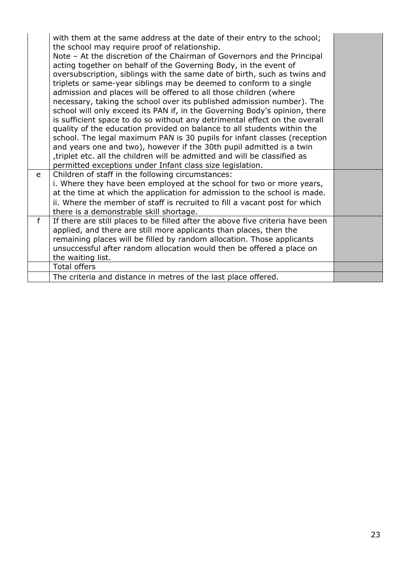|   | with them at the same address at the date of their entry to the school;<br>the school may require proof of relationship.                                                                                                                                                                                                                                                                                                                                                                                                                                                                                                                                                                                                                                                                                                                                                                                                                                                           |  |
|---|------------------------------------------------------------------------------------------------------------------------------------------------------------------------------------------------------------------------------------------------------------------------------------------------------------------------------------------------------------------------------------------------------------------------------------------------------------------------------------------------------------------------------------------------------------------------------------------------------------------------------------------------------------------------------------------------------------------------------------------------------------------------------------------------------------------------------------------------------------------------------------------------------------------------------------------------------------------------------------|--|
|   | Note - At the discretion of the Chairman of Governors and the Principal<br>acting together on behalf of the Governing Body, in the event of<br>oversubscription, siblings with the same date of birth, such as twins and<br>triplets or same-year siblings may be deemed to conform to a single<br>admission and places will be offered to all those children (where<br>necessary, taking the school over its published admission number). The<br>school will only exceed its PAN if, in the Governing Body's opinion, there<br>is sufficient space to do so without any detrimental effect on the overall<br>quality of the education provided on balance to all students within the<br>school. The legal maximum PAN is 30 pupils for infant classes (reception<br>and years one and two), however if the 30th pupil admitted is a twin<br>triplet etc. all the children will be admitted and will be classified as<br>permitted exceptions under Infant class size legislation. |  |
| e | Children of staff in the following circumstances:                                                                                                                                                                                                                                                                                                                                                                                                                                                                                                                                                                                                                                                                                                                                                                                                                                                                                                                                  |  |
|   | i. Where they have been employed at the school for two or more years,                                                                                                                                                                                                                                                                                                                                                                                                                                                                                                                                                                                                                                                                                                                                                                                                                                                                                                              |  |
|   | at the time at which the application for admission to the school is made.                                                                                                                                                                                                                                                                                                                                                                                                                                                                                                                                                                                                                                                                                                                                                                                                                                                                                                          |  |
|   | ii. Where the member of staff is recruited to fill a vacant post for which<br>there is a demonstrable skill shortage.                                                                                                                                                                                                                                                                                                                                                                                                                                                                                                                                                                                                                                                                                                                                                                                                                                                              |  |
| f | If there are still places to be filled after the above five criteria have been<br>applied, and there are still more applicants than places, then the<br>remaining places will be filled by random allocation. Those applicants<br>unsuccessful after random allocation would then be offered a place on                                                                                                                                                                                                                                                                                                                                                                                                                                                                                                                                                                                                                                                                            |  |
|   | the waiting list.                                                                                                                                                                                                                                                                                                                                                                                                                                                                                                                                                                                                                                                                                                                                                                                                                                                                                                                                                                  |  |
|   | Total offers                                                                                                                                                                                                                                                                                                                                                                                                                                                                                                                                                                                                                                                                                                                                                                                                                                                                                                                                                                       |  |
|   | The criteria and distance in metres of the last place offered.                                                                                                                                                                                                                                                                                                                                                                                                                                                                                                                                                                                                                                                                                                                                                                                                                                                                                                                     |  |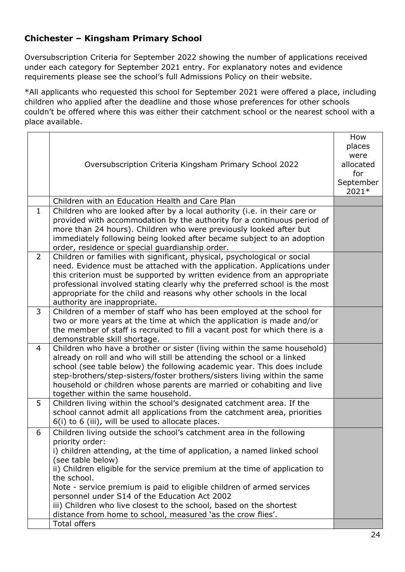### <span id="page-23-0"></span>**Chichester – Kingsham Primary School**

Oversubscription Criteria for September 2022 showing the number of applications received under each category for September 2021 entry. For explanatory notes and evidence requirements please see the school's full Admissions Policy on their website.

|                | Oversubscription Criteria Kingsham Primary School 2022                                                                                                                                                                                                                                                                                                                                                                                                                                                                                                 | How<br>places<br>were<br>allocated<br>for<br>September<br>2021* |
|----------------|--------------------------------------------------------------------------------------------------------------------------------------------------------------------------------------------------------------------------------------------------------------------------------------------------------------------------------------------------------------------------------------------------------------------------------------------------------------------------------------------------------------------------------------------------------|-----------------------------------------------------------------|
|                | Children with an Education Health and Care Plan                                                                                                                                                                                                                                                                                                                                                                                                                                                                                                        |                                                                 |
| $\mathbf{1}$   | Children who are looked after by a local authority (i.e. in their care or<br>provided with accommodation by the authority for a continuous period of<br>more than 24 hours). Children who were previously looked after but<br>immediately following being looked after became subject to an adoption<br>order, residence or special guardianship order.                                                                                                                                                                                                |                                                                 |
| $\overline{2}$ | Children or families with significant, physical, psychological or social<br>need. Evidence must be attached with the application. Applications under<br>this criterion must be supported by written evidence from an appropriate<br>professional involved stating clearly why the preferred school is the most<br>appropriate for the child and reasons why other schools in the local<br>authority are inappropriate.                                                                                                                                 |                                                                 |
| 3              | Children of a member of staff who has been employed at the school for<br>two or more years at the time at which the application is made and/or<br>the member of staff is recruited to fill a vacant post for which there is a<br>demonstrable skill shortage.                                                                                                                                                                                                                                                                                          |                                                                 |
| 4              | Children who have a brother or sister (living within the same household)<br>already on roll and who will still be attending the school or a linked<br>school (see table below) the following academic year. This does include<br>step-brothers/step-sisters/foster brothers/sisters living within the same<br>household or children whose parents are married or cohabiting and live<br>together within the same household.                                                                                                                            |                                                                 |
| 5              | Children living within the school's designated catchment area. If the<br>school cannot admit all applications from the catchment area, priorities<br>6(i) to 6 (iii), will be used to allocate places.                                                                                                                                                                                                                                                                                                                                                 |                                                                 |
| 6              | Children living outside the school's catchment area in the following<br>priority order:<br>i) children attending, at the time of application, a named linked school<br>(see table below)<br>ii) Children eligible for the service premium at the time of application to<br>the school.<br>Note - service premium is paid to eligible children of armed services<br>personnel under S14 of the Education Act 2002<br>iii) Children who live closest to the school, based on the shortest<br>distance from home to school, measured 'as the crow flies'. |                                                                 |
|                | <b>Total offers</b>                                                                                                                                                                                                                                                                                                                                                                                                                                                                                                                                    |                                                                 |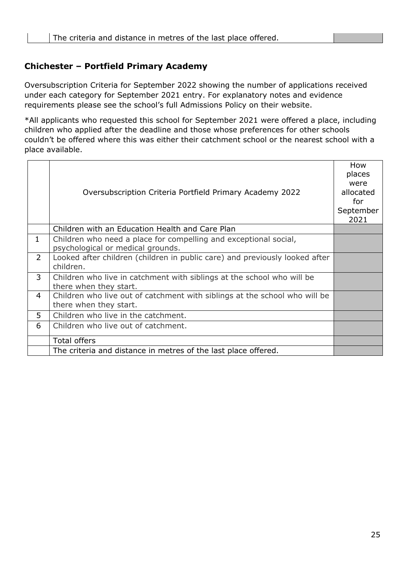#### <span id="page-24-0"></span>**Chichester – Portfield Primary Academy**

Oversubscription Criteria for September 2022 showing the number of applications received under each category for September 2021 entry. For explanatory notes and evidence requirements please see the school's full Admissions Policy on their website.

|                | Oversubscription Criteria Portfield Primary Academy 2022                                              | How<br>places<br>were<br>allocated<br>for<br>September<br>2021 |
|----------------|-------------------------------------------------------------------------------------------------------|----------------------------------------------------------------|
|                | Children with an Education Health and Care Plan                                                       |                                                                |
| $\mathbf{1}$   | Children who need a place for compelling and exceptional social,<br>psychological or medical grounds. |                                                                |
| $\overline{2}$ | Looked after children (children in public care) and previously looked after<br>children.              |                                                                |
| 3              | Children who live in catchment with siblings at the school who will be<br>there when they start.      |                                                                |
| 4              | Children who live out of catchment with siblings at the school who will be<br>there when they start.  |                                                                |
| 5              | Children who live in the catchment.                                                                   |                                                                |
| 6              | Children who live out of catchment.                                                                   |                                                                |
|                | Total offers                                                                                          |                                                                |
|                | The criteria and distance in metres of the last place offered.                                        |                                                                |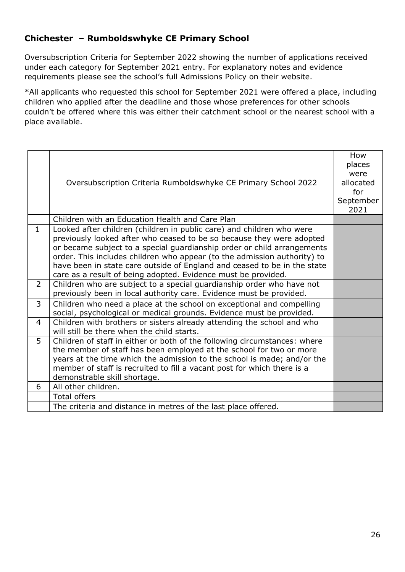#### **Chichester – Rumboldswhyke CE Primary School**

Oversubscription Criteria for September 2022 showing the number of applications received under each category for September 2021 entry. For explanatory notes and evidence requirements please see the school's full Admissions Policy on their website.

|                | Oversubscription Criteria Rumboldswhyke CE Primary School 2022                                                                                                                                                                                                                                                                                                                                                                                     | How<br>places<br>were<br>allocated<br>for<br>September<br>2021 |
|----------------|----------------------------------------------------------------------------------------------------------------------------------------------------------------------------------------------------------------------------------------------------------------------------------------------------------------------------------------------------------------------------------------------------------------------------------------------------|----------------------------------------------------------------|
|                | Children with an Education Health and Care Plan                                                                                                                                                                                                                                                                                                                                                                                                    |                                                                |
| $\mathbf{1}$   | Looked after children (children in public care) and children who were<br>previously looked after who ceased to be so because they were adopted<br>or became subject to a special guardianship order or child arrangements<br>order. This includes children who appear (to the admission authority) to<br>have been in state care outside of England and ceased to be in the state<br>care as a result of being adopted. Evidence must be provided. |                                                                |
| $\overline{2}$ | Children who are subject to a special guardianship order who have not<br>previously been in local authority care. Evidence must be provided.                                                                                                                                                                                                                                                                                                       |                                                                |
| 3              | Children who need a place at the school on exceptional and compelling<br>social, psychological or medical grounds. Evidence must be provided.                                                                                                                                                                                                                                                                                                      |                                                                |
| $\overline{4}$ | Children with brothers or sisters already attending the school and who<br>will still be there when the child starts.                                                                                                                                                                                                                                                                                                                               |                                                                |
| 5              | Children of staff in either or both of the following circumstances: where<br>the member of staff has been employed at the school for two or more<br>years at the time which the admission to the school is made; and/or the<br>member of staff is recruited to fill a vacant post for which there is a<br>demonstrable skill shortage.                                                                                                             |                                                                |
| 6              | All other children.                                                                                                                                                                                                                                                                                                                                                                                                                                |                                                                |
|                | <b>Total offers</b>                                                                                                                                                                                                                                                                                                                                                                                                                                |                                                                |
|                | The criteria and distance in metres of the last place offered.                                                                                                                                                                                                                                                                                                                                                                                     |                                                                |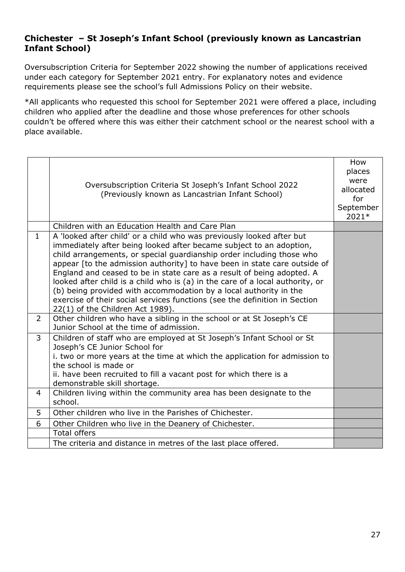#### <span id="page-26-0"></span>**Chichester – St Joseph's Infant School (previously known as Lancastrian Infant School)**

Oversubscription Criteria for September 2022 showing the number of applications received under each category for September 2021 entry. For explanatory notes and evidence requirements please see the school's full Admissions Policy on their website.

|                | Oversubscription Criteria St Joseph's Infant School 2022<br>(Previously known as Lancastrian Infant School)                                                                                                                                                                                                                                                                                                                                                                                                                                                                                                                                          | How<br>places<br>were<br>allocated<br>for<br>September<br>2021* |
|----------------|------------------------------------------------------------------------------------------------------------------------------------------------------------------------------------------------------------------------------------------------------------------------------------------------------------------------------------------------------------------------------------------------------------------------------------------------------------------------------------------------------------------------------------------------------------------------------------------------------------------------------------------------------|-----------------------------------------------------------------|
|                | Children with an Education Health and Care Plan                                                                                                                                                                                                                                                                                                                                                                                                                                                                                                                                                                                                      |                                                                 |
| $\mathbf{1}$   | A 'looked after child' or a child who was previously looked after but<br>immediately after being looked after became subject to an adoption,<br>child arrangements, or special guardianship order including those who<br>appear [to the admission authority] to have been in state care outside of<br>England and ceased to be in state care as a result of being adopted. A<br>looked after child is a child who is (a) in the care of a local authority, or<br>(b) being provided with accommodation by a local authority in the<br>exercise of their social services functions (see the definition in Section<br>22(1) of the Children Act 1989). |                                                                 |
| $\overline{2}$ | Other children who have a sibling in the school or at St Joseph's CE<br>Junior School at the time of admission.                                                                                                                                                                                                                                                                                                                                                                                                                                                                                                                                      |                                                                 |
| 3              | Children of staff who are employed at St Joseph's Infant School or St<br>Joseph's CE Junior School for<br>i. two or more years at the time at which the application for admission to<br>the school is made or<br>ii. have been recruited to fill a vacant post for which there is a<br>demonstrable skill shortage.                                                                                                                                                                                                                                                                                                                                  |                                                                 |
| 4              | Children living within the community area has been designate to the<br>school.                                                                                                                                                                                                                                                                                                                                                                                                                                                                                                                                                                       |                                                                 |
| 5              | Other children who live in the Parishes of Chichester.                                                                                                                                                                                                                                                                                                                                                                                                                                                                                                                                                                                               |                                                                 |
| 6              | Other Children who live in the Deanery of Chichester.                                                                                                                                                                                                                                                                                                                                                                                                                                                                                                                                                                                                |                                                                 |
|                | <b>Total offers</b>                                                                                                                                                                                                                                                                                                                                                                                                                                                                                                                                                                                                                                  |                                                                 |
|                | The criteria and distance in metres of the last place offered.                                                                                                                                                                                                                                                                                                                                                                                                                                                                                                                                                                                       |                                                                 |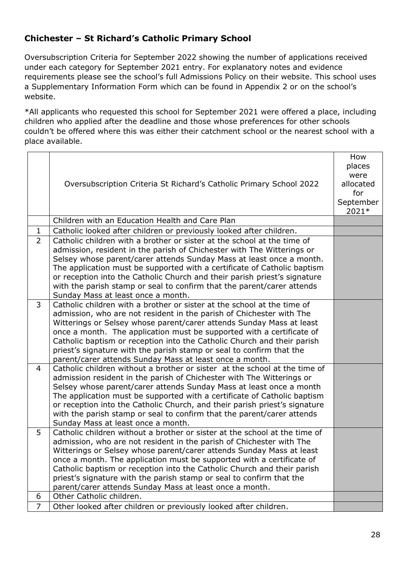### <span id="page-27-0"></span>**Chichester – St Richard's Catholic Primary School**

Oversubscription Criteria for September 2022 showing the number of applications received under each category for September 2021 entry. For explanatory notes and evidence requirements please see the school's full Admissions Policy on their website. This school uses a Supplementary Information Form which can be found in Appendix 2 or on the school's website.

|                | Oversubscription Criteria St Richard's Catholic Primary School 2022                                                                                                                                                                                                                                                                                                                                                                                                                                               | How<br>places<br>were<br>allocated<br>for<br>September<br>2021* |
|----------------|-------------------------------------------------------------------------------------------------------------------------------------------------------------------------------------------------------------------------------------------------------------------------------------------------------------------------------------------------------------------------------------------------------------------------------------------------------------------------------------------------------------------|-----------------------------------------------------------------|
|                | Children with an Education Health and Care Plan                                                                                                                                                                                                                                                                                                                                                                                                                                                                   |                                                                 |
| $\mathbf{1}$   | Catholic looked after children or previously looked after children.                                                                                                                                                                                                                                                                                                                                                                                                                                               |                                                                 |
| $\overline{2}$ | Catholic children with a brother or sister at the school at the time of<br>admission, resident in the parish of Chichester with The Witterings or<br>Selsey whose parent/carer attends Sunday Mass at least once a month.<br>The application must be supported with a certificate of Catholic baptism<br>or reception into the Catholic Church and their parish priest's signature<br>with the parish stamp or seal to confirm that the parent/carer attends<br>Sunday Mass at least once a month.                |                                                                 |
| 3              | Catholic children with a brother or sister at the school at the time of<br>admission, who are not resident in the parish of Chichester with The<br>Witterings or Selsey whose parent/carer attends Sunday Mass at least<br>once a month. The application must be supported with a certificate of<br>Catholic baptism or reception into the Catholic Church and their parish<br>priest's signature with the parish stamp or seal to confirm that the<br>parent/carer attends Sunday Mass at least once a month.    |                                                                 |
| 4              | Catholic children without a brother or sister at the school at the time of<br>admission resident in the parish of Chichester with The Witterings or<br>Selsey whose parent/carer attends Sunday Mass at least once a month<br>The application must be supported with a certificate of Catholic baptism<br>or reception into the Catholic Church, and their parish priest's signature<br>with the parish stamp or seal to confirm that the parent/carer attends<br>Sunday Mass at least once a month.              |                                                                 |
| 5              | Catholic children without a brother or sister at the school at the time of<br>admission, who are not resident in the parish of Chichester with The<br>Witterings or Selsey whose parent/carer attends Sunday Mass at least<br>once a month. The application must be supported with a certificate of<br>Catholic baptism or reception into the Catholic Church and their parish<br>priest's signature with the parish stamp or seal to confirm that the<br>parent/carer attends Sunday Mass at least once a month. |                                                                 |
| 6              | Other Catholic children.                                                                                                                                                                                                                                                                                                                                                                                                                                                                                          |                                                                 |
| $\overline{7}$ | Other looked after children or previously looked after children.                                                                                                                                                                                                                                                                                                                                                                                                                                                  |                                                                 |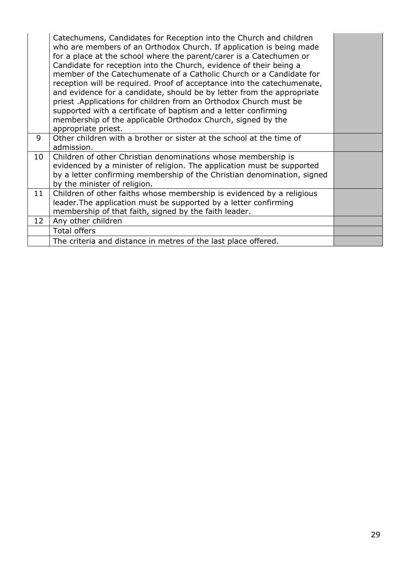|    | Catechumens, Candidates for Reception into the Church and children<br>who are members of an Orthodox Church. If application is being made<br>for a place at the school where the parent/carer is a Catechumen or<br>Candidate for reception into the Church, evidence of their being a<br>member of the Catechumenate of a Catholic Church or a Candidate for<br>reception will be required. Proof of acceptance into the catechumenate,<br>and evidence for a candidate, should be by letter from the appropriate<br>priest .Applications for children from an Orthodox Church must be<br>supported with a certificate of baptism and a letter confirming<br>membership of the applicable Orthodox Church, signed by the<br>appropriate priest. |  |
|----|--------------------------------------------------------------------------------------------------------------------------------------------------------------------------------------------------------------------------------------------------------------------------------------------------------------------------------------------------------------------------------------------------------------------------------------------------------------------------------------------------------------------------------------------------------------------------------------------------------------------------------------------------------------------------------------------------------------------------------------------------|--|
| 9  | Other children with a brother or sister at the school at the time of<br>admission.                                                                                                                                                                                                                                                                                                                                                                                                                                                                                                                                                                                                                                                               |  |
| 10 | Children of other Christian denominations whose membership is<br>evidenced by a minister of religion. The application must be supported<br>by a letter confirming membership of the Christian denomination, signed<br>by the minister of religion.                                                                                                                                                                                                                                                                                                                                                                                                                                                                                               |  |
| 11 | Children of other faiths whose membership is evidenced by a religious<br>leader. The application must be supported by a letter confirming<br>membership of that faith, signed by the faith leader.                                                                                                                                                                                                                                                                                                                                                                                                                                                                                                                                               |  |
| 12 | Any other children                                                                                                                                                                                                                                                                                                                                                                                                                                                                                                                                                                                                                                                                                                                               |  |
|    | <b>Total offers</b>                                                                                                                                                                                                                                                                                                                                                                                                                                                                                                                                                                                                                                                                                                                              |  |
|    | The criteria and distance in metres of the last place offered.                                                                                                                                                                                                                                                                                                                                                                                                                                                                                                                                                                                                                                                                                   |  |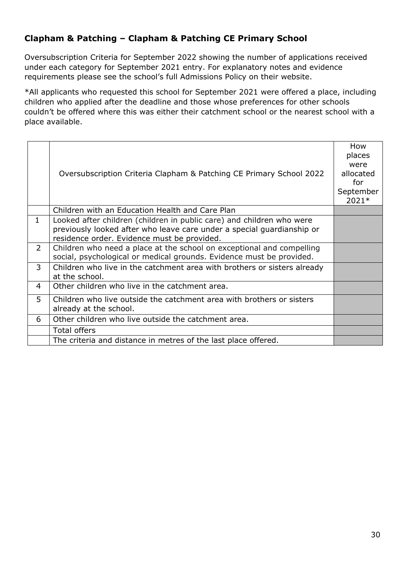## <span id="page-29-0"></span>**Clapham & Patching – Clapham & Patching CE Primary School**

Oversubscription Criteria for September 2022 showing the number of applications received under each category for September 2021 entry. For explanatory notes and evidence requirements please see the school's full Admissions Policy on their website.

|                | Oversubscription Criteria Clapham & Patching CE Primary School 2022                                                                                                                            | How<br>places<br>were<br>allocated<br>for<br>September<br>2021* |
|----------------|------------------------------------------------------------------------------------------------------------------------------------------------------------------------------------------------|-----------------------------------------------------------------|
|                | Children with an Education Health and Care Plan                                                                                                                                                |                                                                 |
| $\mathbf{1}$   | Looked after children (children in public care) and children who were<br>previously looked after who leave care under a special quardianship or<br>residence order. Evidence must be provided. |                                                                 |
| $\overline{2}$ | Children who need a place at the school on exceptional and compelling<br>social, psychological or medical grounds. Evidence must be provided.                                                  |                                                                 |
| 3              | Children who live in the catchment area with brothers or sisters already<br>at the school.                                                                                                     |                                                                 |
| 4              | Other children who live in the catchment area.                                                                                                                                                 |                                                                 |
| 5              | Children who live outside the catchment area with brothers or sisters<br>already at the school.                                                                                                |                                                                 |
| 6              | Other children who live outside the catchment area.                                                                                                                                            |                                                                 |
|                | <b>Total offers</b>                                                                                                                                                                            |                                                                 |
|                | The criteria and distance in metres of the last place offered.                                                                                                                                 |                                                                 |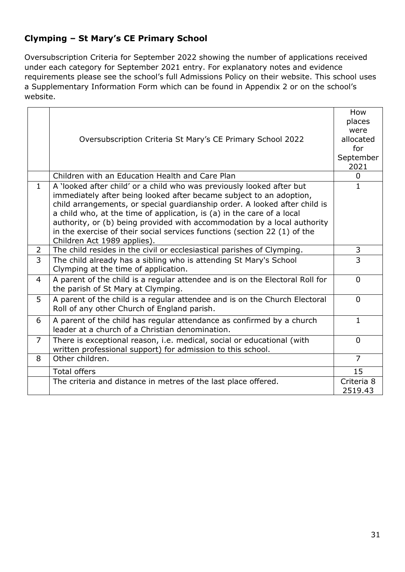## <span id="page-30-0"></span>**Clymping – St Mary's CE Primary School**

Oversubscription Criteria for September 2022 showing the number of applications received under each category for September 2021 entry. For explanatory notes and evidence requirements please see the school's full Admissions Policy on their website. This school uses a Supplementary Information Form which can be found in Appendix 2 or on the school's website.

|                |                                                                                | How            |
|----------------|--------------------------------------------------------------------------------|----------------|
|                |                                                                                | places         |
|                |                                                                                | were           |
|                | Oversubscription Criteria St Mary's CE Primary School 2022                     | allocated      |
|                |                                                                                | for            |
|                |                                                                                | September      |
|                |                                                                                | 2021           |
|                | Children with an Education Health and Care Plan                                | $\Omega$       |
| $\mathbf{1}$   | A 'looked after child' or a child who was previously looked after but          | $\mathbf{1}$   |
|                | immediately after being looked after became subject to an adoption,            |                |
|                | child arrangements, or special guardianship order. A looked after child is     |                |
|                | a child who, at the time of application, is (a) in the care of a local         |                |
|                | authority, or (b) being provided with accommodation by a local authority       |                |
|                | in the exercise of their social services functions (section 22 (1) of the      |                |
|                | Children Act 1989 applies).                                                    |                |
| $\overline{2}$ | The child resides in the civil or ecclesiastical parishes of Clymping.         | 3              |
| $\overline{3}$ | The child already has a sibling who is attending St Mary's School              | 3              |
|                | Clymping at the time of application.                                           |                |
| 4              | A parent of the child is a regular attendee and is on the Electoral Roll for   | $\Omega$       |
|                | the parish of St Mary at Clymping.                                             |                |
| 5              | A parent of the child is a regular attendee and is on the Church Electoral     | $\Omega$       |
|                | Roll of any other Church of England parish.                                    |                |
| 6              | A parent of the child has regular attendance as confirmed by a church          | $\mathbf{1}$   |
|                | leader at a church of a Christian denomination.                                |                |
| $\overline{7}$ |                                                                                | $\Omega$       |
|                | There is exceptional reason, i.e. medical, social or educational (with         |                |
| 8              | written professional support) for admission to this school.<br>Other children. | $\overline{7}$ |
|                |                                                                                |                |
|                | <b>Total offers</b>                                                            | 15             |
|                | The criteria and distance in metres of the last place offered.                 | Criteria 8     |
|                |                                                                                | 2519.43        |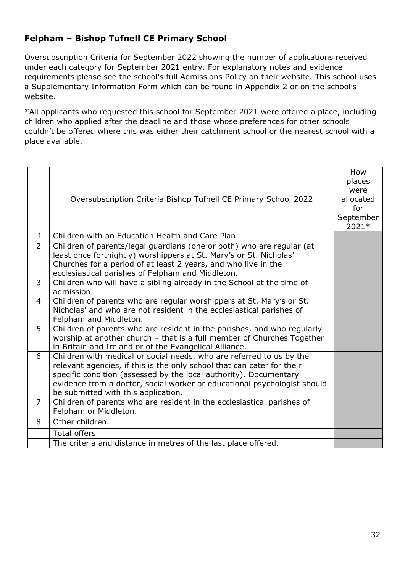### <span id="page-31-0"></span>**Felpham – Bishop Tufnell CE Primary School**

Oversubscription Criteria for September 2022 showing the number of applications received under each category for September 2021 entry. For explanatory notes and evidence requirements please see the school's full Admissions Policy on their website. This school uses a Supplementary Information Form which can be found in Appendix 2 or on the school's website.

|                | Oversubscription Criteria Bishop Tufnell CE Primary School 2022                                                                                                                                                                                                                                                                        | How<br>places<br>were<br>allocated<br>for<br>September<br>2021* |
|----------------|----------------------------------------------------------------------------------------------------------------------------------------------------------------------------------------------------------------------------------------------------------------------------------------------------------------------------------------|-----------------------------------------------------------------|
| $\mathbf{1}$   | Children with an Education Health and Care Plan                                                                                                                                                                                                                                                                                        |                                                                 |
| $\overline{2}$ | Children of parents/legal guardians (one or both) who are regular (at<br>least once fortnightly) worshippers at St. Mary's or St. Nicholas'<br>Churches for a period of at least 2 years, and who live in the<br>ecclesiastical parishes of Felpham and Middleton.                                                                     |                                                                 |
| $\overline{3}$ | Children who will have a sibling already in the School at the time of<br>admission.                                                                                                                                                                                                                                                    |                                                                 |
| 4              | Children of parents who are regular worshippers at St. Mary's or St.<br>Nicholas' and who are not resident in the ecclesiastical parishes of<br>Felpham and Middleton.                                                                                                                                                                 |                                                                 |
| 5              | Children of parents who are resident in the parishes, and who regularly<br>worship at another church - that is a full member of Churches Together<br>in Britain and Ireland or of the Evangelical Alliance.                                                                                                                            |                                                                 |
| 6              | Children with medical or social needs, who are referred to us by the<br>relevant agencies, if this is the only school that can cater for their<br>specific condition (assessed by the local authority). Documentary<br>evidence from a doctor, social worker or educational psychologist should<br>be submitted with this application. |                                                                 |
| $\overline{7}$ | Children of parents who are resident in the ecclesiastical parishes of<br>Felpham or Middleton.                                                                                                                                                                                                                                        |                                                                 |
| 8              | Other children.                                                                                                                                                                                                                                                                                                                        |                                                                 |
|                | <b>Total offers</b>                                                                                                                                                                                                                                                                                                                    |                                                                 |
|                | The criteria and distance in metres of the last place offered.                                                                                                                                                                                                                                                                         |                                                                 |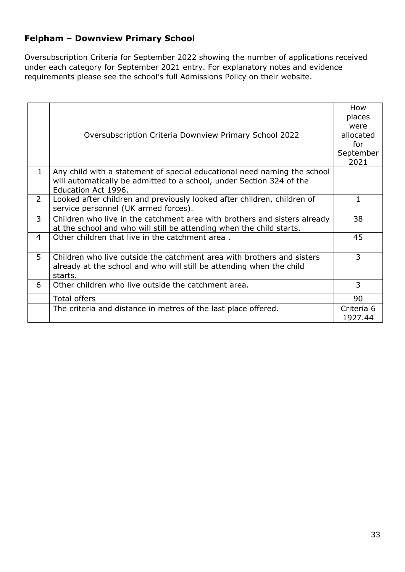#### <span id="page-32-0"></span>**Felpham – Downview Primary School**

Oversubscription Criteria for September 2022 showing the number of applications received under each category for September 2021 entry. For explanatory notes and evidence requirements please see the school's full Admissions Policy on their website.

|                | <b>Oversubscription Criteria Downview Primary School 2022</b>                                                                                                           | How<br>places<br>were<br>allocated<br>for<br>September<br>2021 |
|----------------|-------------------------------------------------------------------------------------------------------------------------------------------------------------------------|----------------------------------------------------------------|
| $\mathbf{1}$   | Any child with a statement of special educational need naming the school<br>will automatically be admitted to a school, under Section 324 of the<br>Education Act 1996. |                                                                |
| $\overline{2}$ | Looked after children and previously looked after children, children of<br>service personnel (UK armed forces).                                                         | $\mathbf{1}$                                                   |
| 3              | Children who live in the catchment area with brothers and sisters already<br>at the school and who will still be attending when the child starts.                       | 38                                                             |
| 4              | Other children that live in the catchment area.                                                                                                                         | 45                                                             |
| 5              | Children who live outside the catchment area with brothers and sisters<br>already at the school and who will still be attending when the child<br>starts.               | 3                                                              |
| 6              | Other children who live outside the catchment area.                                                                                                                     | 3                                                              |
|                | <b>Total offers</b>                                                                                                                                                     | 90                                                             |
|                | The criteria and distance in metres of the last place offered.                                                                                                          | Criteria 6<br>1927.44                                          |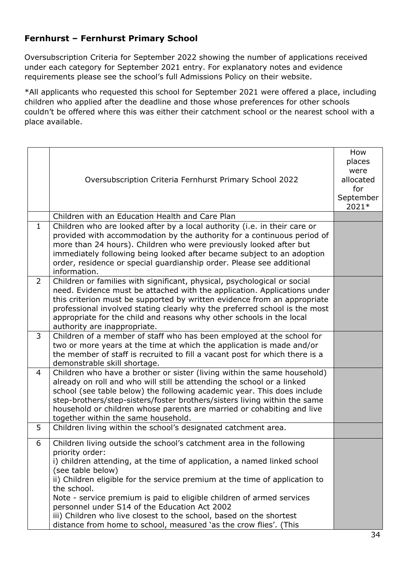#### <span id="page-33-0"></span>**Fernhurst – Fernhurst Primary School**

Oversubscription Criteria for September 2022 showing the number of applications received under each category for September 2021 entry. For explanatory notes and evidence requirements please see the school's full Admissions Policy on their website.

|                | Oversubscription Criteria Fernhurst Primary School 2022                                                                                                                                                                                                                                                                                                                                                                                                                                                                                                      | How<br>places<br>were<br>allocated<br>for<br>September<br>2021* |
|----------------|--------------------------------------------------------------------------------------------------------------------------------------------------------------------------------------------------------------------------------------------------------------------------------------------------------------------------------------------------------------------------------------------------------------------------------------------------------------------------------------------------------------------------------------------------------------|-----------------------------------------------------------------|
|                | Children with an Education Health and Care Plan                                                                                                                                                                                                                                                                                                                                                                                                                                                                                                              |                                                                 |
| $\mathbf{1}$   | Children who are looked after by a local authority (i.e. in their care or<br>provided with accommodation by the authority for a continuous period of<br>more than 24 hours). Children who were previously looked after but<br>immediately following being looked after became subject to an adoption<br>order, residence or special guardianship order. Please see additional<br>information.                                                                                                                                                                |                                                                 |
| $\overline{2}$ | Children or families with significant, physical, psychological or social<br>need. Evidence must be attached with the application. Applications under<br>this criterion must be supported by written evidence from an appropriate<br>professional involved stating clearly why the preferred school is the most<br>appropriate for the child and reasons why other schools in the local<br>authority are inappropriate.                                                                                                                                       |                                                                 |
| 3              | Children of a member of staff who has been employed at the school for<br>two or more years at the time at which the application is made and/or<br>the member of staff is recruited to fill a vacant post for which there is a<br>demonstrable skill shortage.                                                                                                                                                                                                                                                                                                |                                                                 |
| $\overline{4}$ | Children who have a brother or sister (living within the same household)<br>already on roll and who will still be attending the school or a linked<br>school (see table below) the following academic year. This does include<br>step-brothers/step-sisters/foster brothers/sisters living within the same<br>household or children whose parents are married or cohabiting and live<br>together within the same household.                                                                                                                                  |                                                                 |
| 5              | Children living within the school's designated catchment area.                                                                                                                                                                                                                                                                                                                                                                                                                                                                                               |                                                                 |
| 6              | Children living outside the school's catchment area in the following<br>priority order:<br>i) children attending, at the time of application, a named linked school<br>(see table below)<br>ii) Children eligible for the service premium at the time of application to<br>the school.<br>Note - service premium is paid to eligible children of armed services<br>personnel under S14 of the Education Act 2002<br>iii) Children who live closest to the school, based on the shortest<br>distance from home to school, measured 'as the crow flies'. (This |                                                                 |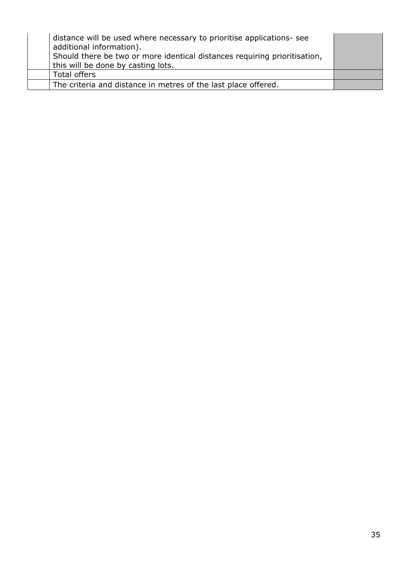| distance will be used where necessary to prioritise applications- see<br>additional information).<br>Should there be two or more identical distances requiring prioritisation,<br>this will be done by casting lots. |  |
|----------------------------------------------------------------------------------------------------------------------------------------------------------------------------------------------------------------------|--|
| Total offers                                                                                                                                                                                                         |  |
| The criteria and distance in metres of the last place offered.                                                                                                                                                       |  |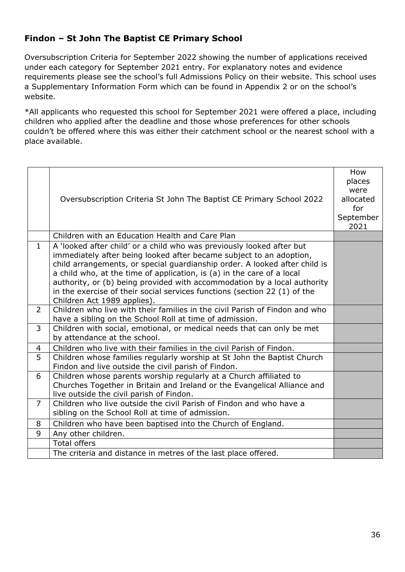### <span id="page-35-0"></span>**Findon – St John The Baptist CE Primary School**

Oversubscription Criteria for September 2022 showing the number of applications received under each category for September 2021 entry. For explanatory notes and evidence requirements please see the school's full Admissions Policy on their website. This school uses a Supplementary Information Form which can be found in Appendix 2 or on the school's website.

|                | Oversubscription Criteria St John The Baptist CE Primary School 2022                                                                                                                                                                                                                                                                                                                                                                                                                         | How<br>places<br>were<br>allocated<br>for<br>September<br>2021 |
|----------------|----------------------------------------------------------------------------------------------------------------------------------------------------------------------------------------------------------------------------------------------------------------------------------------------------------------------------------------------------------------------------------------------------------------------------------------------------------------------------------------------|----------------------------------------------------------------|
|                | Children with an Education Health and Care Plan                                                                                                                                                                                                                                                                                                                                                                                                                                              |                                                                |
| $\mathbf{1}$   | A 'looked after child' or a child who was previously looked after but<br>immediately after being looked after became subject to an adoption,<br>child arrangements, or special guardianship order. A looked after child is<br>a child who, at the time of application, is (a) in the care of a local<br>authority, or (b) being provided with accommodation by a local authority<br>in the exercise of their social services functions (section 22 (1) of the<br>Children Act 1989 applies). |                                                                |
| $\overline{2}$ | Children who live with their families in the civil Parish of Findon and who<br>have a sibling on the School Roll at time of admission.                                                                                                                                                                                                                                                                                                                                                       |                                                                |
| 3              | Children with social, emotional, or medical needs that can only be met<br>by attendance at the school.                                                                                                                                                                                                                                                                                                                                                                                       |                                                                |
| 4              | Children who live with their families in the civil Parish of Findon.                                                                                                                                                                                                                                                                                                                                                                                                                         |                                                                |
| 5              | Children whose families regularly worship at St John the Baptist Church<br>Findon and live outside the civil parish of Findon.                                                                                                                                                                                                                                                                                                                                                               |                                                                |
| 6              | Children whose parents worship regularly at a Church affiliated to<br>Churches Together in Britain and Ireland or the Evangelical Alliance and<br>live outside the civil parish of Findon.                                                                                                                                                                                                                                                                                                   |                                                                |
| $\overline{7}$ | Children who live outside the civil Parish of Findon and who have a<br>sibling on the School Roll at time of admission.                                                                                                                                                                                                                                                                                                                                                                      |                                                                |
| 8              | Children who have been baptised into the Church of England.                                                                                                                                                                                                                                                                                                                                                                                                                                  |                                                                |
| 9              | Any other children.                                                                                                                                                                                                                                                                                                                                                                                                                                                                          |                                                                |
|                | <b>Total offers</b>                                                                                                                                                                                                                                                                                                                                                                                                                                                                          |                                                                |
|                | The criteria and distance in metres of the last place offered.                                                                                                                                                                                                                                                                                                                                                                                                                               |                                                                |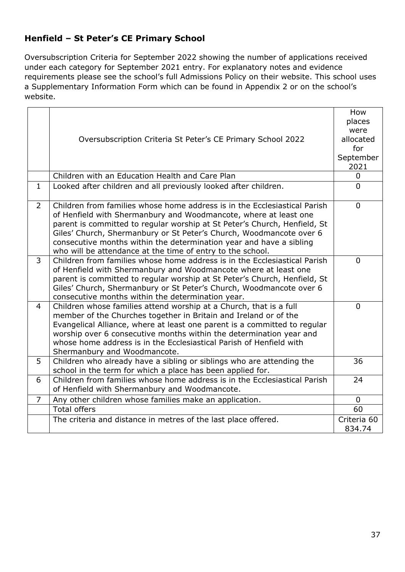## <span id="page-36-0"></span>**Henfield – St Peter's CE Primary School**

Oversubscription Criteria for September 2022 showing the number of applications received under each category for September 2021 entry. For explanatory notes and evidence requirements please see the school's full Admissions Policy on their website. This school uses a Supplementary Information Form which can be found in Appendix 2 or on the school's website.

|                |                                                                                                                                                                                                                                                                                                                                                                                                                                        | How            |
|----------------|----------------------------------------------------------------------------------------------------------------------------------------------------------------------------------------------------------------------------------------------------------------------------------------------------------------------------------------------------------------------------------------------------------------------------------------|----------------|
|                |                                                                                                                                                                                                                                                                                                                                                                                                                                        | places         |
|                |                                                                                                                                                                                                                                                                                                                                                                                                                                        | were           |
|                | Oversubscription Criteria St Peter's CE Primary School 2022                                                                                                                                                                                                                                                                                                                                                                            | allocated      |
|                |                                                                                                                                                                                                                                                                                                                                                                                                                                        | for            |
|                |                                                                                                                                                                                                                                                                                                                                                                                                                                        | September      |
|                |                                                                                                                                                                                                                                                                                                                                                                                                                                        | 2021           |
|                | Children with an Education Health and Care Plan                                                                                                                                                                                                                                                                                                                                                                                        | $\overline{0}$ |
| $\mathbf{1}$   | Looked after children and all previously looked after children.                                                                                                                                                                                                                                                                                                                                                                        | $\Omega$       |
| $\overline{2}$ | Children from families whose home address is in the Ecclesiastical Parish<br>of Henfield with Shermanbury and Woodmancote, where at least one<br>parent is committed to regular worship at St Peter's Church, Henfield, St<br>Giles' Church, Shermanbury or St Peter's Church, Woodmancote over 6<br>consecutive months within the determination year and have a sibling<br>who will be attendance at the time of entry to the school. | $\overline{0}$ |
| 3              | Children from families whose home address is in the Ecclesiastical Parish<br>of Henfield with Shermanbury and Woodmancote where at least one<br>parent is committed to regular worship at St Peter's Church, Henfield, St<br>Giles' Church, Shermanbury or St Peter's Church, Woodmancote over 6<br>consecutive months within the determination year.                                                                                  | $\Omega$       |
| $\overline{4}$ | Children whose families attend worship at a Church, that is a full<br>member of the Churches together in Britain and Ireland or of the<br>Evangelical Alliance, where at least one parent is a committed to regular<br>worship over 6 consecutive months within the determination year and<br>whose home address is in the Ecclesiastical Parish of Henfield with<br>Shermanbury and Woodmancote.                                      | $\Omega$       |
| 5              | Children who already have a sibling or siblings who are attending the<br>school in the term for which a place has been applied for.                                                                                                                                                                                                                                                                                                    | 36             |
| 6              | Children from families whose home address is in the Ecclesiastical Parish<br>of Henfield with Shermanbury and Woodmancote.                                                                                                                                                                                                                                                                                                             | 24             |
| $\overline{7}$ | Any other children whose families make an application.                                                                                                                                                                                                                                                                                                                                                                                 | $\overline{0}$ |
|                | <b>Total offers</b>                                                                                                                                                                                                                                                                                                                                                                                                                    | 60             |
|                | The criteria and distance in metres of the last place offered.                                                                                                                                                                                                                                                                                                                                                                         | Criteria 60    |
|                |                                                                                                                                                                                                                                                                                                                                                                                                                                        | 834.74         |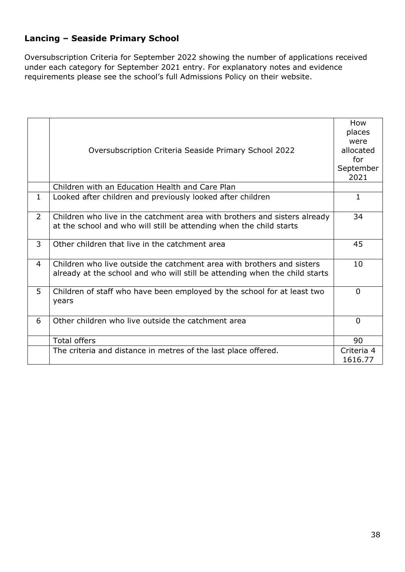### <span id="page-37-0"></span>**Lancing – Seaside Primary School**

Oversubscription Criteria for September 2022 showing the number of applications received under each category for September 2021 entry. For explanatory notes and evidence requirements please see the school's full Admissions Policy on their website.

|                | Oversubscription Criteria Seaside Primary School 2022                                                                                                 | How<br>places<br>were<br>allocated<br>for<br>September<br>2021 |
|----------------|-------------------------------------------------------------------------------------------------------------------------------------------------------|----------------------------------------------------------------|
|                | Children with an Education Health and Care Plan                                                                                                       |                                                                |
| $\mathbf{1}$   | Looked after children and previously looked after children                                                                                            | $\mathbf{1}$                                                   |
| $\overline{2}$ | Children who live in the catchment area with brothers and sisters already<br>at the school and who will still be attending when the child starts      | 34                                                             |
| 3              | Other children that live in the catchment area                                                                                                        | 45                                                             |
| 4              | Children who live outside the catchment area with brothers and sisters<br>already at the school and who will still be attending when the child starts | 10                                                             |
| 5              | Children of staff who have been employed by the school for at least two<br>years                                                                      | $\Omega$                                                       |
| 6              | Other children who live outside the catchment area                                                                                                    | $\Omega$                                                       |
|                | <b>Total offers</b>                                                                                                                                   | 90                                                             |
|                | The criteria and distance in metres of the last place offered.                                                                                        | Criteria 4<br>1616.77                                          |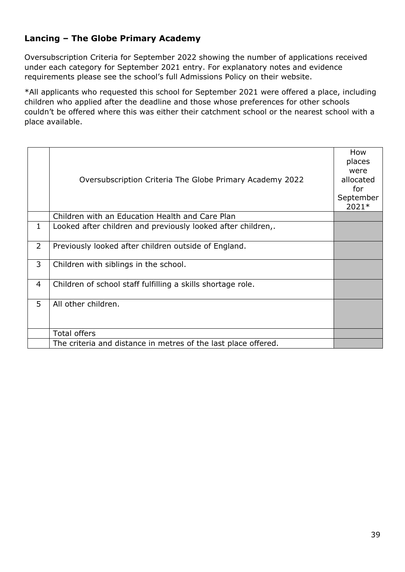#### <span id="page-38-0"></span>**Lancing – The Globe Primary Academy**

Oversubscription Criteria for September 2022 showing the number of applications received under each category for September 2021 entry. For explanatory notes and evidence requirements please see the school's full Admissions Policy on their website.

|                | Oversubscription Criteria The Globe Primary Academy 2022       | How<br>places<br>were<br>allocated<br>for<br>September<br>2021* |
|----------------|----------------------------------------------------------------|-----------------------------------------------------------------|
|                | Children with an Education Health and Care Plan                |                                                                 |
| 1              | Looked after children and previously looked after children,.   |                                                                 |
| $\overline{2}$ | Previously looked after children outside of England.           |                                                                 |
| 3              | Children with siblings in the school.                          |                                                                 |
| $\overline{4}$ | Children of school staff fulfilling a skills shortage role.    |                                                                 |
| 5              | All other children.                                            |                                                                 |
|                | <b>Total offers</b>                                            |                                                                 |
|                | The criteria and distance in metres of the last place offered. |                                                                 |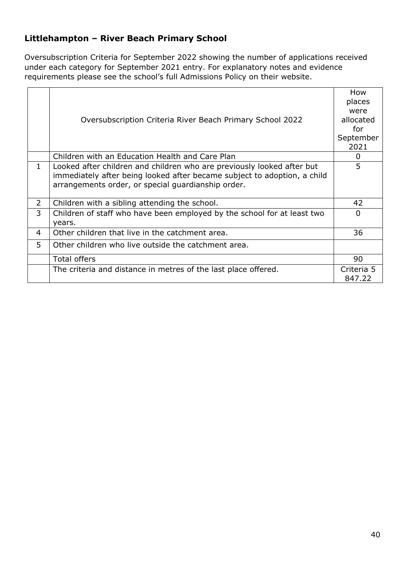### <span id="page-39-0"></span>**Littlehampton – River Beach Primary School**

Oversubscription Criteria for September 2022 showing the number of applications received under each category for September 2021 entry. For explanatory notes and evidence requirements please see the school's full Admissions Policy on their website.

|                |                                                                          | How            |
|----------------|--------------------------------------------------------------------------|----------------|
|                |                                                                          | places         |
|                |                                                                          | were           |
|                | Oversubscription Criteria River Beach Primary School 2022                | allocated      |
|                |                                                                          | for            |
|                |                                                                          | September      |
|                |                                                                          | 2021           |
|                | Children with an Education Health and Care Plan                          | $\Omega$       |
| $\mathbf{1}$   | Looked after children and children who are previously looked after but   | 5              |
|                | immediately after being looked after became subject to adoption, a child |                |
|                | arrangements order, or special guardianship order.                       |                |
|                |                                                                          |                |
| $\overline{2}$ | Children with a sibling attending the school.                            | 42             |
| 3              | Children of staff who have been employed by the school for at least two  | $\overline{0}$ |
|                | years.                                                                   |                |
| 4              | Other children that live in the catchment area.                          | 36             |
| 5              | Other children who live outside the catchment area.                      |                |
|                | Total offers                                                             | 90             |
|                | The criteria and distance in metres of the last place offered.           | Criteria 5     |
|                |                                                                          | 847.22         |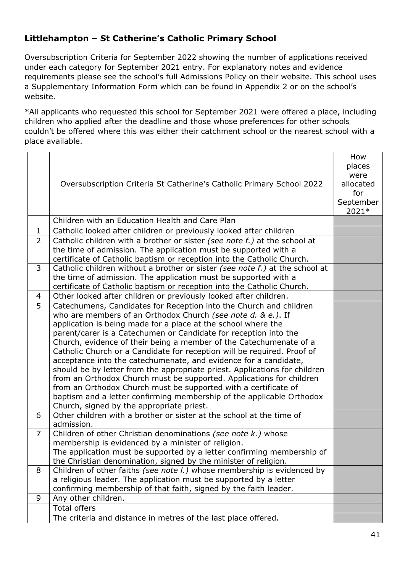### <span id="page-40-0"></span>**Littlehampton – St Catherine's Catholic Primary School**

Oversubscription Criteria for September 2022 showing the number of applications received under each category for September 2021 entry. For explanatory notes and evidence requirements please see the school's full Admissions Policy on their website. This school uses a Supplementary Information Form which can be found in Appendix 2 or on the school's website.

|                | Oversubscription Criteria St Catherine's Catholic Primary School 2022                                                                          | How<br>places<br>were<br>allocated<br>for<br>September<br>2021* |
|----------------|------------------------------------------------------------------------------------------------------------------------------------------------|-----------------------------------------------------------------|
|                | Children with an Education Health and Care Plan                                                                                                |                                                                 |
| 1              | Catholic looked after children or previously looked after children                                                                             |                                                                 |
| $\overline{2}$ | Catholic children with a brother or sister (see note f.) at the school at                                                                      |                                                                 |
|                | the time of admission. The application must be supported with a                                                                                |                                                                 |
|                | certificate of Catholic baptism or reception into the Catholic Church.                                                                         |                                                                 |
| 3              | Catholic children without a brother or sister (see note f.) at the school at                                                                   |                                                                 |
|                | the time of admission. The application must be supported with a                                                                                |                                                                 |
|                | certificate of Catholic baptism or reception into the Catholic Church.                                                                         |                                                                 |
| 4              | Other looked after children or previously looked after children.                                                                               |                                                                 |
| 5              | Catechumens, Candidates for Reception into the Church and children                                                                             |                                                                 |
|                | who are members of an Orthodox Church (see note d. & e.). If                                                                                   |                                                                 |
|                | application is being made for a place at the school where the                                                                                  |                                                                 |
|                | parent/carer is a Catechumen or Candidate for reception into the                                                                               |                                                                 |
|                | Church, evidence of their being a member of the Catechumenate of a                                                                             |                                                                 |
|                | Catholic Church or a Candidate for reception will be required. Proof of                                                                        |                                                                 |
|                | acceptance into the catechumenate, and evidence for a candidate,<br>should be by letter from the appropriate priest. Applications for children |                                                                 |
|                | from an Orthodox Church must be supported. Applications for children                                                                           |                                                                 |
|                | from an Orthodox Church must be supported with a certificate of                                                                                |                                                                 |
|                | baptism and a letter confirming membership of the applicable Orthodox                                                                          |                                                                 |
|                | Church, signed by the appropriate priest.                                                                                                      |                                                                 |
| 6              | Other children with a brother or sister at the school at the time of                                                                           |                                                                 |
|                | admission.                                                                                                                                     |                                                                 |
| $\overline{7}$ | Children of other Christian denominations (see note k.) whose                                                                                  |                                                                 |
|                | membership is evidenced by a minister of religion.                                                                                             |                                                                 |
|                | The application must be supported by a letter confirming membership of                                                                         |                                                                 |
|                | the Christian denomination, signed by the minister of religion.                                                                                |                                                                 |
| 8              | Children of other faiths (see note I.) whose membership is evidenced by                                                                        |                                                                 |
|                | a religious leader. The application must be supported by a letter                                                                              |                                                                 |
|                | confirming membership of that faith, signed by the faith leader.                                                                               |                                                                 |
| 9              | Any other children.                                                                                                                            |                                                                 |
|                | <b>Total offers</b>                                                                                                                            |                                                                 |
|                | The criteria and distance in metres of the last place offered.                                                                                 |                                                                 |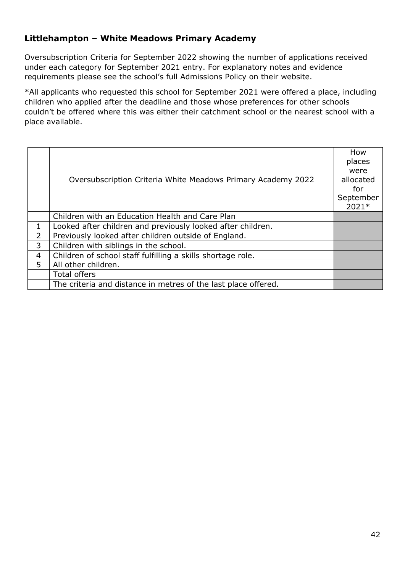#### <span id="page-41-0"></span>**Littlehampton – White Meadows Primary Academy**

Oversubscription Criteria for September 2022 showing the number of applications received under each category for September 2021 entry. For explanatory notes and evidence requirements please see the school's full Admissions Policy on their website.

|   | Oversubscription Criteria White Meadows Primary Academy 2022   | How<br>places<br>were<br>allocated<br>for<br>September<br>2021* |
|---|----------------------------------------------------------------|-----------------------------------------------------------------|
|   | Children with an Education Health and Care Plan                |                                                                 |
|   | Looked after children and previously looked after children.    |                                                                 |
| 2 | Previously looked after children outside of England.           |                                                                 |
| 3 | Children with siblings in the school.                          |                                                                 |
| 4 | Children of school staff fulfilling a skills shortage role.    |                                                                 |
| 5 | All other children.                                            |                                                                 |
|   | <b>Total offers</b>                                            |                                                                 |
|   | The criteria and distance in metres of the last place offered. |                                                                 |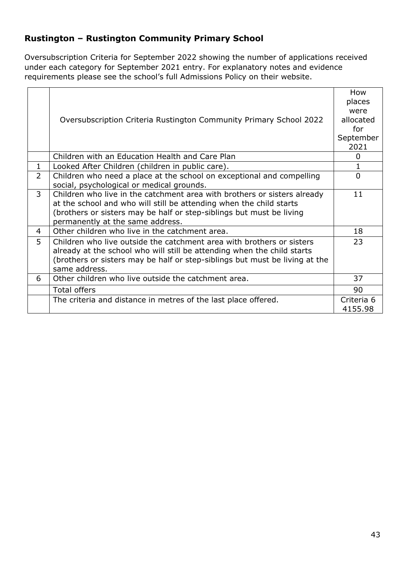### <span id="page-42-0"></span>**Rustington – Rustington Community Primary School**

Oversubscription Criteria for September 2022 showing the number of applications received under each category for September 2021 entry. For explanatory notes and evidence requirements please see the school's full Admissions Policy on their website.

|                |                                                                             | How        |
|----------------|-----------------------------------------------------------------------------|------------|
|                |                                                                             | places     |
|                |                                                                             | were       |
|                | Oversubscription Criteria Rustington Community Primary School 2022          | allocated  |
|                |                                                                             | for        |
|                |                                                                             | September  |
|                |                                                                             | 2021       |
|                | Children with an Education Health and Care Plan                             | $\Omega$   |
| 1              | Looked After Children (children in public care).                            | 1          |
| $\overline{2}$ | Children who need a place at the school on exceptional and compelling       | $\Omega$   |
|                | social, psychological or medical grounds.                                   |            |
| 3              | Children who live in the catchment area with brothers or sisters already    | 11         |
|                | at the school and who will still be attending when the child starts         |            |
|                | (brothers or sisters may be half or step-siblings but must be living        |            |
|                | permanently at the same address.                                            |            |
| 4              | Other children who live in the catchment area.                              | 18         |
| 5              | Children who live outside the catchment area with brothers or sisters       | 23         |
|                | already at the school who will still be attending when the child starts     |            |
|                | (brothers or sisters may be half or step-siblings but must be living at the |            |
|                | same address.                                                               |            |
| 6              | Other children who live outside the catchment area.                         | 37         |
|                | <b>Total offers</b>                                                         | 90         |
|                | The criteria and distance in metres of the last place offered.              | Criteria 6 |
|                |                                                                             | 4155.98    |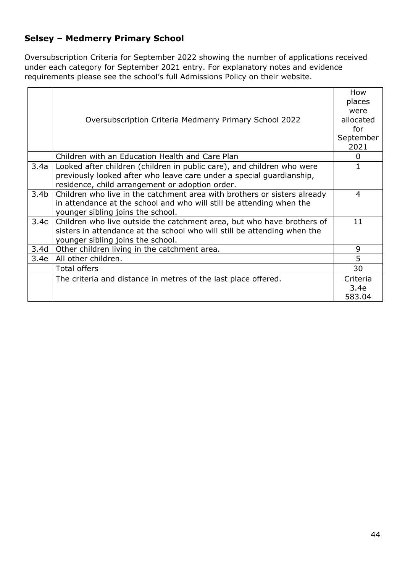### <span id="page-43-0"></span>**Selsey – Medmerry Primary School**

Oversubscription Criteria for September 2022 showing the number of applications received under each category for September 2021 entry. For explanatory notes and evidence requirements please see the school's full Admissions Policy on their website.

|                  |                                                                          | How       |
|------------------|--------------------------------------------------------------------------|-----------|
|                  |                                                                          | places    |
|                  |                                                                          | were      |
|                  | Oversubscription Criteria Medmerry Primary School 2022                   | allocated |
|                  |                                                                          | for       |
|                  |                                                                          | September |
|                  |                                                                          | 2021      |
|                  | Children with an Education Health and Care Plan                          | 0         |
| 3.4a             | Looked after children (children in public care), and children who were   | 1         |
|                  | previously looked after who leave care under a special quardianship,     |           |
|                  | residence, child arrangement or adoption order.                          |           |
| 3.4 <sub>b</sub> | Children who live in the catchment area with brothers or sisters already | 4         |
|                  | in attendance at the school and who will still be attending when the     |           |
|                  | younger sibling joins the school.                                        |           |
| 3.4c             | Children who live outside the catchment area, but who have brothers of   | 11        |
|                  | sisters in attendance at the school who will still be attending when the |           |
|                  | younger sibling joins the school.                                        |           |
| 3.4d             | Other children living in the catchment area.                             | 9         |
| 3.4e             | All other children.                                                      | 5         |
|                  | <b>Total offers</b>                                                      | 30        |
|                  | The criteria and distance in metres of the last place offered.           | Criteria  |
|                  |                                                                          | 3.4e      |
|                  |                                                                          | 583.04    |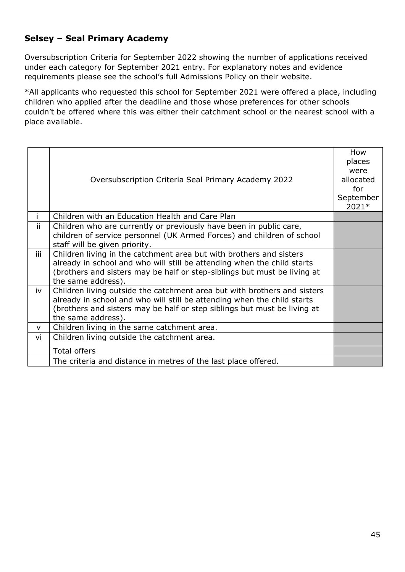#### <span id="page-44-0"></span>**Selsey – Seal Primary Academy**

Oversubscription Criteria for September 2022 showing the number of applications received under each category for September 2021 entry. For explanatory notes and evidence requirements please see the school's full Admissions Policy on their website.

|              | Oversubscription Criteria Seal Primary Academy 2022                                                                                                                                                                                                   | How<br>places<br>were<br>allocated<br>for<br>September<br>2021* |
|--------------|-------------------------------------------------------------------------------------------------------------------------------------------------------------------------------------------------------------------------------------------------------|-----------------------------------------------------------------|
|              | Children with an Education Health and Care Plan                                                                                                                                                                                                       |                                                                 |
| ii.          | Children who are currently or previously have been in public care,<br>children of service personnel (UK Armed Forces) and children of school<br>staff will be given priority.                                                                         |                                                                 |
| iii          | Children living in the catchment area but with brothers and sisters<br>already in school and who will still be attending when the child starts<br>(brothers and sisters may be half or step-siblings but must be living at<br>the same address).      |                                                                 |
| iv           | Children living outside the catchment area but with brothers and sisters<br>already in school and who will still be attending when the child starts<br>(brothers and sisters may be half or step siblings but must be living at<br>the same address). |                                                                 |
| $\mathsf{V}$ | Children living in the same catchment area.                                                                                                                                                                                                           |                                                                 |
| vi           | Children living outside the catchment area.                                                                                                                                                                                                           |                                                                 |
|              | <b>Total offers</b>                                                                                                                                                                                                                                   |                                                                 |
|              | The criteria and distance in metres of the last place offered.                                                                                                                                                                                        |                                                                 |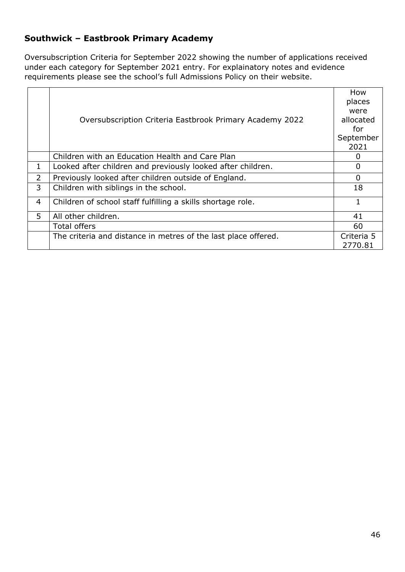### <span id="page-45-0"></span>**Southwick – Eastbrook Primary Academy**

Oversubscription Criteria for September 2022 showing the number of applications received under each category for September 2021 entry. For explainatory notes and evidence requirements please see the school's full Admissions Policy on their website.

|   |                                                                | How        |
|---|----------------------------------------------------------------|------------|
|   |                                                                | places     |
|   |                                                                | were       |
|   | Oversubscription Criteria Eastbrook Primary Academy 2022       | allocated  |
|   |                                                                | for        |
|   |                                                                | September  |
|   |                                                                | 2021       |
|   | Children with an Education Health and Care Plan                | O          |
| 1 | Looked after children and previously looked after children.    | 0          |
| 2 | Previously looked after children outside of England.           | 0          |
| 3 | Children with siblings in the school.                          | 18         |
| 4 | Children of school staff fulfilling a skills shortage role.    | 1          |
| 5 | All other children.                                            | 41         |
|   | <b>Total offers</b>                                            | 60         |
|   | The criteria and distance in metres of the last place offered. | Criteria 5 |
|   |                                                                | 2770.81    |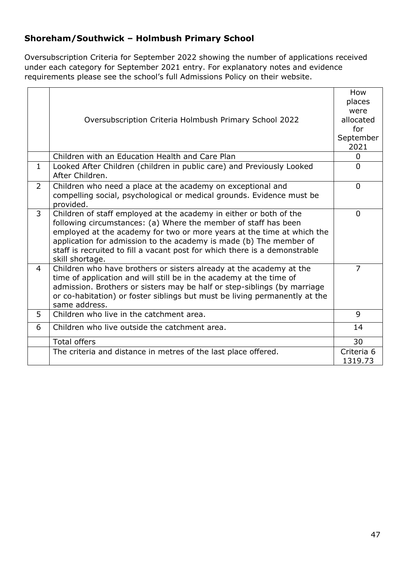### <span id="page-46-0"></span>**Shoreham/Southwick – Holmbush Primary School**

Oversubscription Criteria for September 2022 showing the number of applications received under each category for September 2021 entry. For explanatory notes and evidence requirements please see the school's full Admissions Policy on their website.

|                |                                                                            | How            |
|----------------|----------------------------------------------------------------------------|----------------|
|                |                                                                            | places         |
|                |                                                                            | were           |
|                | Oversubscription Criteria Holmbush Primary School 2022                     | allocated      |
|                |                                                                            | for            |
|                |                                                                            | September      |
|                |                                                                            | 2021           |
|                | Children with an Education Health and Care Plan                            | $\Omega$       |
| $\mathbf{1}$   | Looked After Children (children in public care) and Previously Looked      | $\Omega$       |
|                | After Children.                                                            |                |
| $\overline{2}$ | Children who need a place at the academy on exceptional and                | $\Omega$       |
|                | compelling social, psychological or medical grounds. Evidence must be      |                |
|                | provided.                                                                  |                |
| $\overline{3}$ | Children of staff employed at the academy in either or both of the         | $\Omega$       |
|                | following circumstances: (a) Where the member of staff has been            |                |
|                | employed at the academy for two or more years at the time at which the     |                |
|                | application for admission to the academy is made (b) The member of         |                |
|                | staff is recruited to fill a vacant post for which there is a demonstrable |                |
|                | skill shortage.                                                            |                |
| 4              | Children who have brothers or sisters already at the academy at the        | $\overline{7}$ |
|                | time of application and will still be in the academy at the time of        |                |
|                | admission. Brothers or sisters may be half or step-siblings (by marriage   |                |
|                | or co-habitation) or foster siblings but must be living permanently at the |                |
|                | same address.                                                              |                |
| 5              | Children who live in the catchment area.                                   | 9              |
| 6              | Children who live outside the catchment area.                              | 14             |
|                | <b>Total offers</b>                                                        | 30             |
|                | The criteria and distance in metres of the last place offered.             | Criteria 6     |
|                |                                                                            | 1319.73        |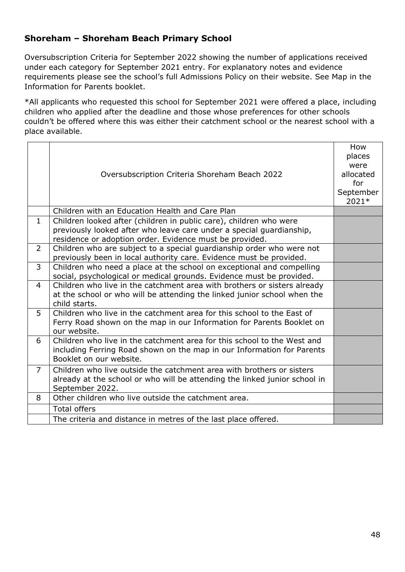#### <span id="page-47-0"></span>**Shoreham – Shoreham Beach Primary School**

Oversubscription Criteria for September 2022 showing the number of applications received under each category for September 2021 entry. For explanatory notes and evidence requirements please see the school's full Admissions Policy on their website. See Map in the Information for Parents booklet.

|                | Oversubscription Criteria Shoreham Beach 2022                                                                                                                                                         | How<br>places<br>were<br>allocated<br>for<br>September<br>2021* |
|----------------|-------------------------------------------------------------------------------------------------------------------------------------------------------------------------------------------------------|-----------------------------------------------------------------|
|                | Children with an Education Health and Care Plan                                                                                                                                                       |                                                                 |
| $\mathbf{1}$   | Children looked after (children in public care), children who were<br>previously looked after who leave care under a special guardianship,<br>residence or adoption order. Evidence must be provided. |                                                                 |
| $\overline{2}$ | Children who are subject to a special guardianship order who were not<br>previously been in local authority care. Evidence must be provided.                                                          |                                                                 |
| 3              | Children who need a place at the school on exceptional and compelling<br>social, psychological or medical grounds. Evidence must be provided.                                                         |                                                                 |
| 4              | Children who live in the catchment area with brothers or sisters already<br>at the school or who will be attending the linked junior school when the<br>child starts.                                 |                                                                 |
| 5              | Children who live in the catchment area for this school to the East of<br>Ferry Road shown on the map in our Information for Parents Booklet on<br>our website.                                       |                                                                 |
| 6              | Children who live in the catchment area for this school to the West and<br>including Ferring Road shown on the map in our Information for Parents<br>Booklet on our website.                          |                                                                 |
| $\overline{7}$ | Children who live outside the catchment area with brothers or sisters<br>already at the school or who will be attending the linked junior school in<br>September 2022.                                |                                                                 |
| 8              | Other children who live outside the catchment area.                                                                                                                                                   |                                                                 |
|                | <b>Total offers</b>                                                                                                                                                                                   |                                                                 |
|                | The criteria and distance in metres of the last place offered.                                                                                                                                        |                                                                 |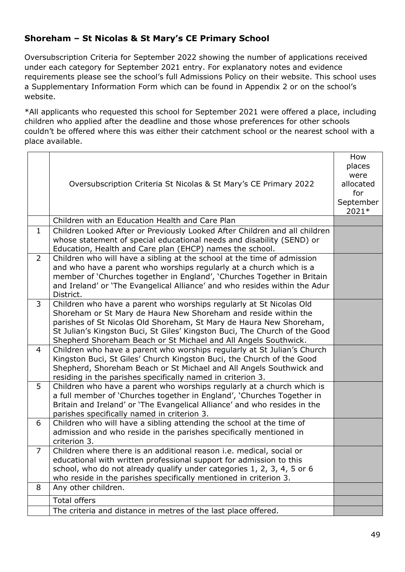### <span id="page-48-0"></span>**Shoreham – St Nicolas & St Mary's CE Primary School**

Oversubscription Criteria for September 2022 showing the number of applications received under each category for September 2021 entry. For explanatory notes and evidence requirements please see the school's full Admissions Policy on their website. This school uses a Supplementary Information Form which can be found in Appendix 2 or on the school's website.

|                | Oversubscription Criteria St Nicolas & St Mary's CE Primary 2022                                                                                                                                                                                                                                                                                               | How<br>places<br>were<br>allocated<br>for<br>September<br>2021* |
|----------------|----------------------------------------------------------------------------------------------------------------------------------------------------------------------------------------------------------------------------------------------------------------------------------------------------------------------------------------------------------------|-----------------------------------------------------------------|
|                | Children with an Education Health and Care Plan                                                                                                                                                                                                                                                                                                                |                                                                 |
| $\mathbf{1}$   | Children Looked After or Previously Looked After Children and all children<br>whose statement of special educational needs and disability (SEND) or<br>Education, Health and Care plan (EHCP) names the school.                                                                                                                                                |                                                                 |
| $\overline{2}$ | Children who will have a sibling at the school at the time of admission<br>and who have a parent who worships regularly at a church which is a<br>member of 'Churches together in England', 'Churches Together in Britain<br>and Ireland' or 'The Evangelical Alliance' and who resides within the Adur<br>District.                                           |                                                                 |
| 3              | Children who have a parent who worships regularly at St Nicolas Old<br>Shoreham or St Mary de Haura New Shoreham and reside within the<br>parishes of St Nicolas Old Shoreham, St Mary de Haura New Shoreham,<br>St Julian's Kingston Buci, St Giles' Kingston Buci, The Church of the Good<br>Shepherd Shoreham Beach or St Michael and All Angels Southwick. |                                                                 |
| $\overline{4}$ | Children who have a parent who worships regularly at St Julian's Church<br>Kingston Buci, St Giles' Church Kingston Buci, the Church of the Good<br>Shepherd, Shoreham Beach or St Michael and All Angels Southwick and<br>residing in the parishes specifically named in criterion 3.                                                                         |                                                                 |
| 5              | Children who have a parent who worships regularly at a church which is<br>a full member of 'Churches together in England', 'Churches Together in<br>Britain and Ireland' or 'The Evangelical Alliance' and who resides in the<br>parishes specifically named in criterion 3.                                                                                   |                                                                 |
| 6              | Children who will have a sibling attending the school at the time of<br>admission and who reside in the parishes specifically mentioned in<br>criterion 3.                                                                                                                                                                                                     |                                                                 |
| 7              | Children where there is an additional reason <i>i.e.</i> medical, social or<br>educational with written professional support for admission to this<br>school, who do not already qualify under categories 1, 2, 3, 4, 5 or 6<br>who reside in the parishes specifically mentioned in criterion 3.                                                              |                                                                 |
| 8              | Any other children.                                                                                                                                                                                                                                                                                                                                            |                                                                 |
|                | <b>Total offers</b>                                                                                                                                                                                                                                                                                                                                            |                                                                 |
|                | The criteria and distance in metres of the last place offered.                                                                                                                                                                                                                                                                                                 |                                                                 |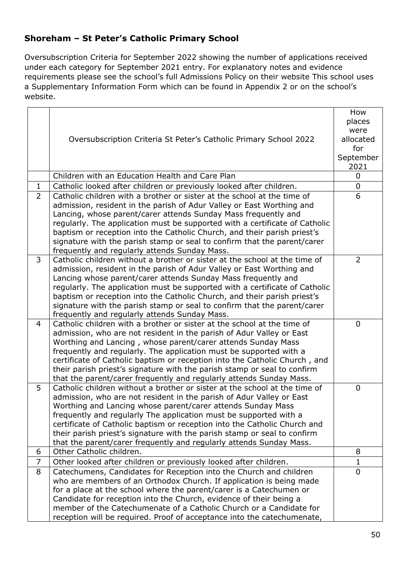### <span id="page-49-0"></span>**Shoreham – St Peter's Catholic Primary School**

Oversubscription Criteria for September 2022 showing the number of applications received under each category for September 2021 entry. For explanatory notes and evidence requirements please see the school's full Admissions Policy on their website This school uses a Supplementary Information Form which can be found in Appendix 2 or on the school's website.

|                |                                                                             | How          |
|----------------|-----------------------------------------------------------------------------|--------------|
|                |                                                                             | places       |
|                |                                                                             | were         |
|                | Oversubscription Criteria St Peter's Catholic Primary School 2022           | allocated    |
|                |                                                                             | for          |
|                |                                                                             | September    |
|                |                                                                             | 2021         |
|                | Children with an Education Health and Care Plan                             | $\mathbf 0$  |
| 1              | Catholic looked after children or previously looked after children.         | 0            |
| $\overline{2}$ | Catholic children with a brother or sister at the school at the time of     | 6            |
|                | admission, resident in the parish of Adur Valley or East Worthing and       |              |
|                | Lancing, whose parent/carer attends Sunday Mass frequently and              |              |
|                | regularly. The application must be supported with a certificate of Catholic |              |
|                | baptism or reception into the Catholic Church, and their parish priest's    |              |
|                | signature with the parish stamp or seal to confirm that the parent/carer    |              |
|                | frequently and regularly attends Sunday Mass.                               |              |
| 3              | Catholic children without a brother or sister at the school at the time of  | 2            |
|                | admission, resident in the parish of Adur Valley or East Worthing and       |              |
|                | Lancing whose parent/carer attends Sunday Mass frequently and               |              |
|                | regularly. The application must be supported with a certificate of Catholic |              |
|                | baptism or reception into the Catholic Church, and their parish priest's    |              |
|                | signature with the parish stamp or seal to confirm that the parent/carer    |              |
|                | frequently and regularly attends Sunday Mass.                               |              |
| $\overline{4}$ | Catholic children with a brother or sister at the school at the time of     | $\mathbf 0$  |
|                | admission, who are not resident in the parish of Adur Valley or East        |              |
|                | Worthing and Lancing, whose parent/carer attends Sunday Mass                |              |
|                | frequently and regularly. The application must be supported with a          |              |
|                | certificate of Catholic baptism or reception into the Catholic Church, and  |              |
|                | their parish priest's signature with the parish stamp or seal to confirm    |              |
|                | that the parent/carer frequently and regularly attends Sunday Mass.         |              |
| 5              | Catholic children without a brother or sister at the school at the time of  | 0            |
|                | admission, who are not resident in the parish of Adur Valley or East        |              |
|                | Worthing and Lancing whose parent/carer attends Sunday Mass                 |              |
|                | frequently and regularly The application must be supported with a           |              |
|                | certificate of Catholic baptism or reception into the Catholic Church and   |              |
|                | their parish priest's signature with the parish stamp or seal to confirm    |              |
|                | that the parent/carer frequently and regularly attends Sunday Mass.         |              |
| 6              | Other Catholic children.                                                    | 8            |
| $\overline{7}$ | Other looked after children or previously looked after children.            | $\mathbf{1}$ |
| 8              | Catechumens, Candidates for Reception into the Church and children          | 0            |
|                | who are members of an Orthodox Church. If application is being made         |              |
|                | for a place at the school where the parent/carer is a Catechumen or         |              |
|                | Candidate for reception into the Church, evidence of their being a          |              |
|                | member of the Catechumenate of a Catholic Church or a Candidate for         |              |
|                | reception will be required. Proof of acceptance into the catechumenate,     |              |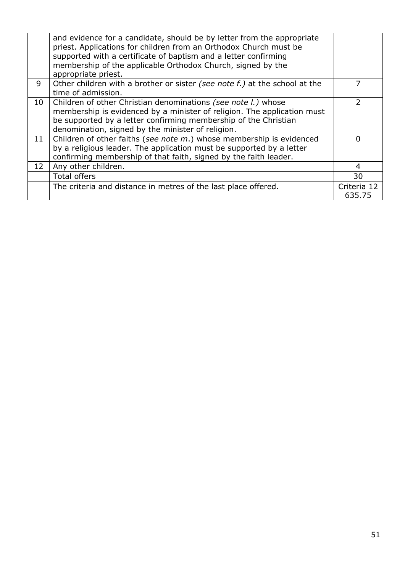|    | and evidence for a candidate, should be by letter from the appropriate<br>priest. Applications for children from an Orthodox Church must be<br>supported with a certificate of baptism and a letter confirming<br>membership of the applicable Orthodox Church, signed by the<br>appropriate priest. |             |
|----|------------------------------------------------------------------------------------------------------------------------------------------------------------------------------------------------------------------------------------------------------------------------------------------------------|-------------|
| 9  | Other children with a brother or sister (see note f.) at the school at the<br>time of admission.                                                                                                                                                                                                     | 7           |
|    |                                                                                                                                                                                                                                                                                                      |             |
| 10 | Children of other Christian denominations (see note l.) whose                                                                                                                                                                                                                                        | 2           |
|    | membership is evidenced by a minister of religion. The application must                                                                                                                                                                                                                              |             |
|    | be supported by a letter confirming membership of the Christian                                                                                                                                                                                                                                      |             |
|    | denomination, signed by the minister of religion.                                                                                                                                                                                                                                                    |             |
| 11 | Children of other faiths (see note m.) whose membership is evidenced                                                                                                                                                                                                                                 | $\Omega$    |
|    | by a religious leader. The application must be supported by a letter                                                                                                                                                                                                                                 |             |
|    | confirming membership of that faith, signed by the faith leader.                                                                                                                                                                                                                                     |             |
| 12 | Any other children.                                                                                                                                                                                                                                                                                  | 4           |
|    | Total offers                                                                                                                                                                                                                                                                                         | 30          |
|    | The criteria and distance in metres of the last place offered.                                                                                                                                                                                                                                       | Criteria 12 |
|    |                                                                                                                                                                                                                                                                                                      | 635.75      |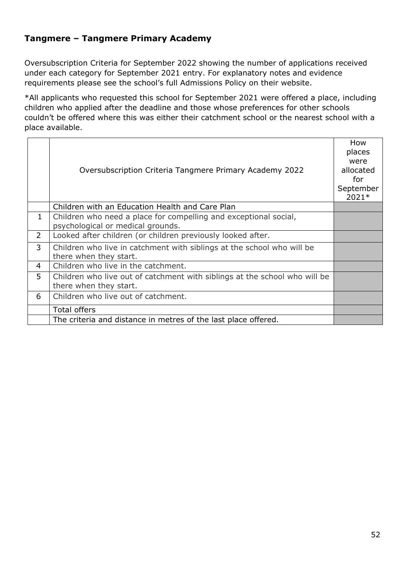#### <span id="page-51-0"></span>**Tangmere – Tangmere Primary Academy**

Oversubscription Criteria for September 2022 showing the number of applications received under each category for September 2021 entry. For explanatory notes and evidence requirements please see the school's full Admissions Policy on their website.

|                | Oversubscription Criteria Tangmere Primary Academy 2022                                               | How<br>places<br>were<br>allocated<br>for<br>September<br>2021* |
|----------------|-------------------------------------------------------------------------------------------------------|-----------------------------------------------------------------|
|                | Children with an Education Health and Care Plan                                                       |                                                                 |
| $\mathbf{1}$   | Children who need a place for compelling and exceptional social,<br>psychological or medical grounds. |                                                                 |
| $\overline{2}$ | Looked after children (or children previously looked after.                                           |                                                                 |
| 3              | Children who live in catchment with siblings at the school who will be<br>there when they start.      |                                                                 |
| 4              | Children who live in the catchment.                                                                   |                                                                 |
| 5              | Children who live out of catchment with siblings at the school who will be<br>there when they start.  |                                                                 |
| 6              | Children who live out of catchment.                                                                   |                                                                 |
|                | Total offers                                                                                          |                                                                 |
|                | The criteria and distance in metres of the last place offered.                                        |                                                                 |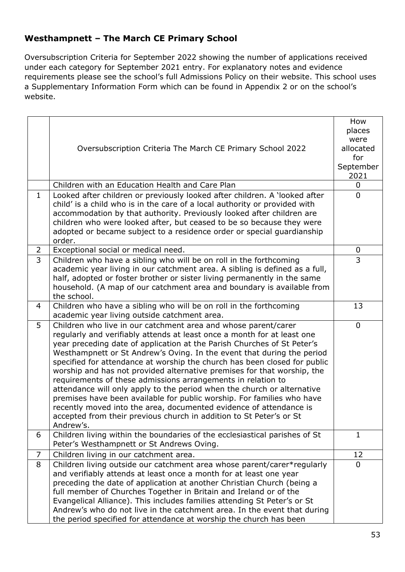### <span id="page-52-0"></span>**Westhampnett – The March CE Primary School**

Oversubscription Criteria for September 2022 showing the number of applications received under each category for September 2021 entry. For explanatory notes and evidence requirements please see the school's full Admissions Policy on their website. This school uses a Supplementary Information Form which can be found in Appendix 2 or on the school's website.

|                | Oversubscription Criteria The March CE Primary School 2022<br>Children with an Education Health and Care Plan                                                                                                                                                                                                                                                                                                                                                                                                                                                                                                                                                                                                                                                                                                                         | How<br>places<br>were<br>allocated<br>for<br>September<br>2021<br>$\overline{0}$ |
|----------------|---------------------------------------------------------------------------------------------------------------------------------------------------------------------------------------------------------------------------------------------------------------------------------------------------------------------------------------------------------------------------------------------------------------------------------------------------------------------------------------------------------------------------------------------------------------------------------------------------------------------------------------------------------------------------------------------------------------------------------------------------------------------------------------------------------------------------------------|----------------------------------------------------------------------------------|
| $\mathbf{1}$   | Looked after children or previously looked after children. A 'looked after                                                                                                                                                                                                                                                                                                                                                                                                                                                                                                                                                                                                                                                                                                                                                            | $\Omega$                                                                         |
|                | child' is a child who is in the care of a local authority or provided with<br>accommodation by that authority. Previously looked after children are<br>children who were looked after, but ceased to be so because they were<br>adopted or became subject to a residence order or special guardianship<br>order.                                                                                                                                                                                                                                                                                                                                                                                                                                                                                                                      |                                                                                  |
| $\overline{2}$ | Exceptional social or medical need.                                                                                                                                                                                                                                                                                                                                                                                                                                                                                                                                                                                                                                                                                                                                                                                                   | 0                                                                                |
| $\overline{3}$ | Children who have a sibling who will be on roll in the forthcoming<br>academic year living in our catchment area. A sibling is defined as a full,<br>half, adopted or foster brother or sister living permanently in the same<br>household. (A map of our catchment area and boundary is available from<br>the school.                                                                                                                                                                                                                                                                                                                                                                                                                                                                                                                | 3                                                                                |
| $\overline{4}$ | Children who have a sibling who will be on roll in the forthcoming<br>academic year living outside catchment area.                                                                                                                                                                                                                                                                                                                                                                                                                                                                                                                                                                                                                                                                                                                    | 13                                                                               |
| 5              | Children who live in our catchment area and whose parent/carer<br>regularly and verifiably attends at least once a month for at least one<br>year preceding date of application at the Parish Churches of St Peter's<br>Westhampnett or St Andrew's Oving. In the event that during the period<br>specified for attendance at worship the church has been closed for public<br>worship and has not provided alternative premises for that worship, the<br>requirements of these admissions arrangements in relation to<br>attendance will only apply to the period when the church or alternative<br>premises have been available for public worship. For families who have<br>recently moved into the area, documented evidence of attendance is<br>accepted from their previous church in addition to St Peter's or St<br>Andrew's. | $\mathbf 0$                                                                      |
| 6              | Children living within the boundaries of the ecclesiastical parishes of St<br>Peter's Westhampnett or St Andrews Oving.                                                                                                                                                                                                                                                                                                                                                                                                                                                                                                                                                                                                                                                                                                               | $\mathbf{1}$                                                                     |
| 7              | Children living in our catchment area.                                                                                                                                                                                                                                                                                                                                                                                                                                                                                                                                                                                                                                                                                                                                                                                                | 12                                                                               |
| 8              | Children living outside our catchment area whose parent/carer*regularly<br>and verifiably attends at least once a month for at least one year<br>preceding the date of application at another Christian Church (being a<br>full member of Churches Together in Britain and Ireland or of the<br>Evangelical Alliance). This includes families attending St Peter's or St<br>Andrew's who do not live in the catchment area. In the event that during<br>the period specified for attendance at worship the church has been                                                                                                                                                                                                                                                                                                            | $\mathbf 0$                                                                      |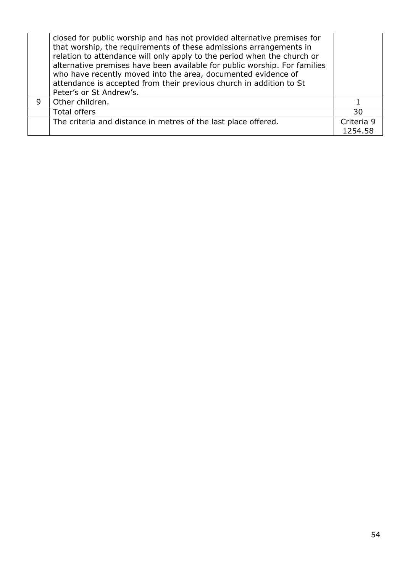|   | closed for public worship and has not provided alternative premises for<br>that worship, the requirements of these admissions arrangements in<br>relation to attendance will only apply to the period when the church or<br>alternative premises have been available for public worship. For families<br>who have recently moved into the area, documented evidence of<br>attendance is accepted from their previous church in addition to St<br>Peter's or St Andrew's. |            |
|---|--------------------------------------------------------------------------------------------------------------------------------------------------------------------------------------------------------------------------------------------------------------------------------------------------------------------------------------------------------------------------------------------------------------------------------------------------------------------------|------------|
| 9 | Other children.                                                                                                                                                                                                                                                                                                                                                                                                                                                          |            |
|   | Total offers                                                                                                                                                                                                                                                                                                                                                                                                                                                             | 30         |
|   | The criteria and distance in metres of the last place offered.                                                                                                                                                                                                                                                                                                                                                                                                           | Criteria 9 |
|   |                                                                                                                                                                                                                                                                                                                                                                                                                                                                          | 1254.58    |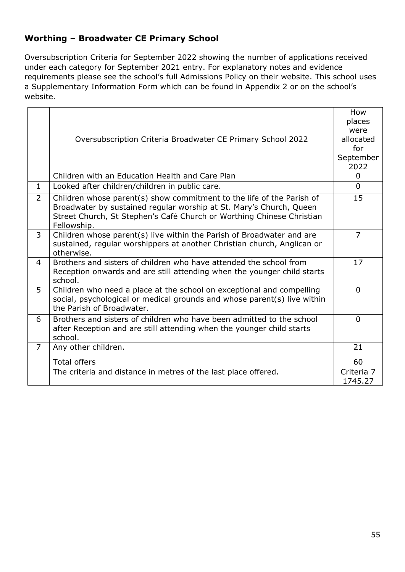### <span id="page-54-0"></span>**Worthing – Broadwater CE Primary School**

Oversubscription Criteria for September 2022 showing the number of applications received under each category for September 2021 entry. For explanatory notes and evidence requirements please see the school's full Admissions Policy on their website. This school uses a Supplementary Information Form which can be found in Appendix 2 or on the school's website.

|                | Oversubscription Criteria Broadwater CE Primary School 2022                                                                                                                                                                          | How<br>places<br>were<br>allocated<br>for<br>September<br>2022 |
|----------------|--------------------------------------------------------------------------------------------------------------------------------------------------------------------------------------------------------------------------------------|----------------------------------------------------------------|
| $\mathbf{1}$   | Children with an Education Health and Care Plan<br>Looked after children/children in public care.                                                                                                                                    | $\overline{0}$<br>$\Omega$                                     |
| $\overline{2}$ | Children whose parent(s) show commitment to the life of the Parish of<br>Broadwater by sustained regular worship at St. Mary's Church, Queen<br>Street Church, St Stephen's Café Church or Worthing Chinese Christian<br>Fellowship. | 15                                                             |
| $\overline{3}$ | Children whose parent(s) live within the Parish of Broadwater and are<br>sustained, regular worshippers at another Christian church, Anglican or<br>otherwise.                                                                       | $\overline{7}$                                                 |
| 4              | Brothers and sisters of children who have attended the school from<br>Reception onwards and are still attending when the younger child starts<br>school.                                                                             | 17                                                             |
| 5              | Children who need a place at the school on exceptional and compelling<br>social, psychological or medical grounds and whose parent(s) live within<br>the Parish of Broadwater.                                                       | $\Omega$                                                       |
| 6              | Brothers and sisters of children who have been admitted to the school<br>after Reception and are still attending when the younger child starts<br>school.                                                                            | $\mathbf{0}$                                                   |
| $\overline{7}$ | Any other children.                                                                                                                                                                                                                  | 21                                                             |
|                | <b>Total offers</b>                                                                                                                                                                                                                  | 60                                                             |
|                | The criteria and distance in metres of the last place offered.                                                                                                                                                                       | Criteria 7<br>1745.27                                          |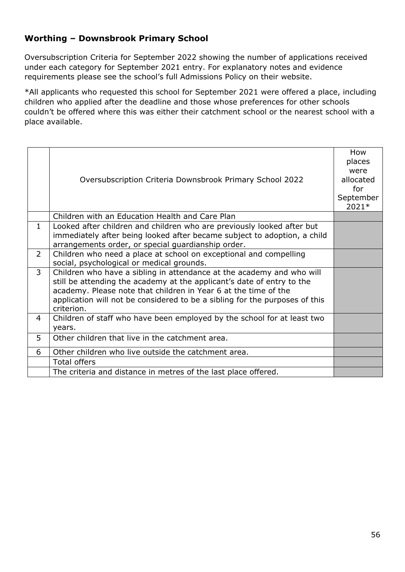#### <span id="page-55-0"></span>**Worthing – Downsbrook Primary School**

Oversubscription Criteria for September 2022 showing the number of applications received under each category for September 2021 entry. For explanatory notes and evidence requirements please see the school's full Admissions Policy on their website.

|                | Oversubscription Criteria Downsbrook Primary School 2022                                                                                                                                                                                                                                                        | How<br>places<br>were<br>allocated<br>for<br>September<br>2021* |
|----------------|-----------------------------------------------------------------------------------------------------------------------------------------------------------------------------------------------------------------------------------------------------------------------------------------------------------------|-----------------------------------------------------------------|
|                | Children with an Education Health and Care Plan                                                                                                                                                                                                                                                                 |                                                                 |
| $\mathbf{1}$   | Looked after children and children who are previously looked after but<br>immediately after being looked after became subject to adoption, a child<br>arrangements order, or special guardianship order.                                                                                                        |                                                                 |
| $\overline{2}$ | Children who need a place at school on exceptional and compelling<br>social, psychological or medical grounds.                                                                                                                                                                                                  |                                                                 |
| $\overline{3}$ | Children who have a sibling in attendance at the academy and who will<br>still be attending the academy at the applicant's date of entry to the<br>academy. Please note that children in Year 6 at the time of the<br>application will not be considered to be a sibling for the purposes of this<br>criterion. |                                                                 |
| 4              | Children of staff who have been employed by the school for at least two<br>years.                                                                                                                                                                                                                               |                                                                 |
| 5              | Other children that live in the catchment area.                                                                                                                                                                                                                                                                 |                                                                 |
| 6              | Other children who live outside the catchment area.                                                                                                                                                                                                                                                             |                                                                 |
|                | <b>Total offers</b>                                                                                                                                                                                                                                                                                             |                                                                 |
|                | The criteria and distance in metres of the last place offered.                                                                                                                                                                                                                                                  |                                                                 |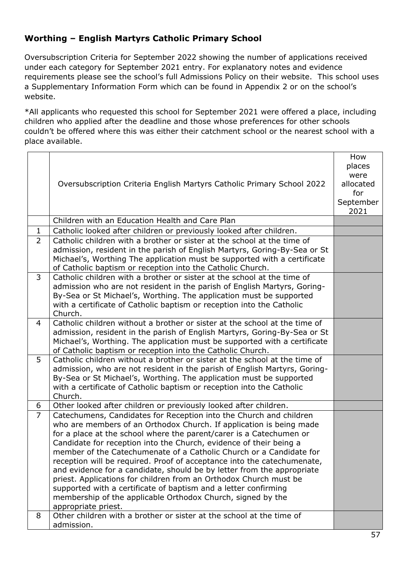### <span id="page-56-0"></span>**Worthing – English Martyrs Catholic Primary School**

Oversubscription Criteria for September 2022 showing the number of applications received under each category for September 2021 entry. For explanatory notes and evidence requirements please see the school's full Admissions Policy on their website. This school uses a Supplementary Information Form which can be found in Appendix 2 or on the school's website.

|                | Oversubscription Criteria English Martyrs Catholic Primary School 2022                                                                                                                                                                                                                                                                                                                                                                                                                                                                                                                                                                                                                                                                           | How<br>places<br>were<br>allocated<br>for<br>September<br>2021 |
|----------------|--------------------------------------------------------------------------------------------------------------------------------------------------------------------------------------------------------------------------------------------------------------------------------------------------------------------------------------------------------------------------------------------------------------------------------------------------------------------------------------------------------------------------------------------------------------------------------------------------------------------------------------------------------------------------------------------------------------------------------------------------|----------------------------------------------------------------|
|                | Children with an Education Health and Care Plan                                                                                                                                                                                                                                                                                                                                                                                                                                                                                                                                                                                                                                                                                                  |                                                                |
| $\mathbf 1$    | Catholic looked after children or previously looked after children.                                                                                                                                                                                                                                                                                                                                                                                                                                                                                                                                                                                                                                                                              |                                                                |
| $\overline{2}$ | Catholic children with a brother or sister at the school at the time of<br>admission, resident in the parish of English Martyrs, Goring-By-Sea or St<br>Michael's, Worthing The application must be supported with a certificate<br>of Catholic baptism or reception into the Catholic Church.                                                                                                                                                                                                                                                                                                                                                                                                                                                   |                                                                |
| 3              | Catholic children with a brother or sister at the school at the time of<br>admission who are not resident in the parish of English Martyrs, Goring-<br>By-Sea or St Michael's, Worthing. The application must be supported<br>with a certificate of Catholic baptism or reception into the Catholic<br>Church.                                                                                                                                                                                                                                                                                                                                                                                                                                   |                                                                |
| $\overline{4}$ | Catholic children without a brother or sister at the school at the time of<br>admission, resident in the parish of English Martyrs, Goring-By-Sea or St<br>Michael's, Worthing. The application must be supported with a certificate<br>of Catholic baptism or reception into the Catholic Church.                                                                                                                                                                                                                                                                                                                                                                                                                                               |                                                                |
| 5              | Catholic children without a brother or sister at the school at the time of<br>admission, who are not resident in the parish of English Martyrs, Goring-<br>By-Sea or St Michael's, Worthing. The application must be supported<br>with a certificate of Catholic baptism or reception into the Catholic<br>Church.                                                                                                                                                                                                                                                                                                                                                                                                                               |                                                                |
| 6              | Other looked after children or previously looked after children.                                                                                                                                                                                                                                                                                                                                                                                                                                                                                                                                                                                                                                                                                 |                                                                |
| $\overline{7}$ | Catechumens, Candidates for Reception into the Church and children<br>who are members of an Orthodox Church. If application is being made<br>for a place at the school where the parent/carer is a Catechumen or<br>Candidate for reception into the Church, evidence of their being a<br>member of the Catechumenate of a Catholic Church or a Candidate for<br>reception will be required. Proof of acceptance into the catechumenate,<br>and evidence for a candidate, should be by letter from the appropriate<br>priest. Applications for children from an Orthodox Church must be<br>supported with a certificate of baptism and a letter confirming<br>membership of the applicable Orthodox Church, signed by the<br>appropriate priest. |                                                                |
| 8              | Other children with a brother or sister at the school at the time of<br>admission.                                                                                                                                                                                                                                                                                                                                                                                                                                                                                                                                                                                                                                                               |                                                                |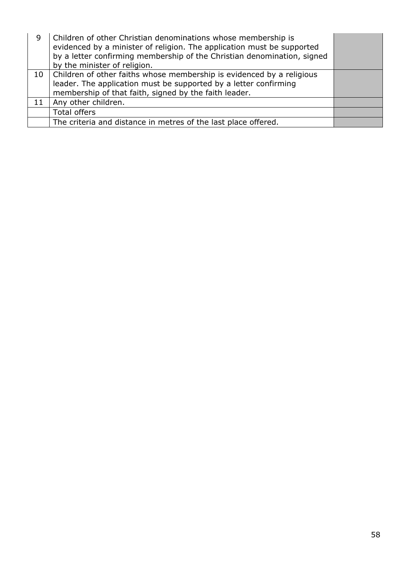| 9  | Children of other Christian denominations whose membership is<br>evidenced by a minister of religion. The application must be supported<br>by a letter confirming membership of the Christian denomination, signed<br>by the minister of religion. |  |
|----|----------------------------------------------------------------------------------------------------------------------------------------------------------------------------------------------------------------------------------------------------|--|
|    | 10   Children of other faiths whose membership is evidenced by a religious<br>leader. The application must be supported by a letter confirming<br>membership of that faith, signed by the faith leader.                                            |  |
| 11 | Any other children.                                                                                                                                                                                                                                |  |
|    | <b>Total offers</b>                                                                                                                                                                                                                                |  |
|    | The criteria and distance in metres of the last place offered.                                                                                                                                                                                     |  |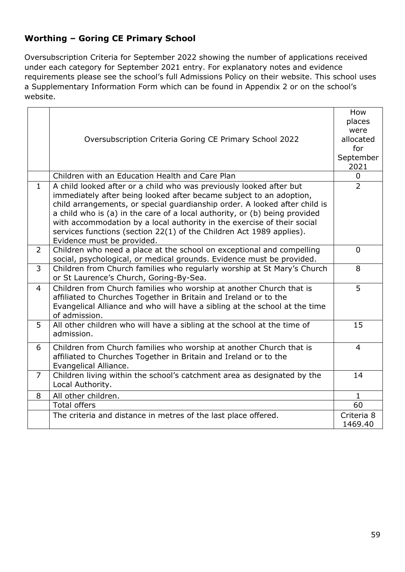### <span id="page-58-0"></span>**Worthing – Goring CE Primary School**

Oversubscription Criteria for September 2022 showing the number of applications received under each category for September 2021 entry. For explanatory notes and evidence requirements please see the school's full Admissions Policy on their website. This school uses a Supplementary Information Form which can be found in Appendix 2 or on the school's website.

|                | Oversubscription Criteria Goring CE Primary School 2022                                                                                                                                                                                                                                                                                                                                                                                                                                 | How<br>places<br>were<br>allocated<br>for<br>September |
|----------------|-----------------------------------------------------------------------------------------------------------------------------------------------------------------------------------------------------------------------------------------------------------------------------------------------------------------------------------------------------------------------------------------------------------------------------------------------------------------------------------------|--------------------------------------------------------|
|                |                                                                                                                                                                                                                                                                                                                                                                                                                                                                                         | 2021                                                   |
|                | Children with an Education Health and Care Plan                                                                                                                                                                                                                                                                                                                                                                                                                                         | $\mathbf 0$                                            |
| $\mathbf{1}$   | A child looked after or a child who was previously looked after but<br>immediately after being looked after became subject to an adoption,<br>child arrangements, or special quardianship order. A looked after child is<br>a child who is (a) in the care of a local authority, or (b) being provided<br>with accommodation by a local authority in the exercise of their social<br>services functions (section 22(1) of the Children Act 1989 applies).<br>Evidence must be provided. | $\overline{2}$                                         |
| $\overline{2}$ | Children who need a place at the school on exceptional and compelling<br>social, psychological, or medical grounds. Evidence must be provided.                                                                                                                                                                                                                                                                                                                                          | $\overline{0}$                                         |
| 3              | Children from Church families who regularly worship at St Mary's Church<br>or St Laurence's Church, Goring-By-Sea.                                                                                                                                                                                                                                                                                                                                                                      | 8                                                      |
| $\overline{4}$ | Children from Church families who worship at another Church that is<br>affiliated to Churches Together in Britain and Ireland or to the<br>Evangelical Alliance and who will have a sibling at the school at the time<br>of admission.                                                                                                                                                                                                                                                  | 5                                                      |
| 5              | All other children who will have a sibling at the school at the time of<br>admission.                                                                                                                                                                                                                                                                                                                                                                                                   | 15                                                     |
| 6              | Children from Church families who worship at another Church that is<br>affiliated to Churches Together in Britain and Ireland or to the<br>Evangelical Alliance.                                                                                                                                                                                                                                                                                                                        | $\overline{4}$                                         |
| $\overline{7}$ | Children living within the school's catchment area as designated by the<br>Local Authority.                                                                                                                                                                                                                                                                                                                                                                                             | 14                                                     |
| 8              | All other children.                                                                                                                                                                                                                                                                                                                                                                                                                                                                     | $\mathbf{1}$                                           |
|                | <b>Total offers</b>                                                                                                                                                                                                                                                                                                                                                                                                                                                                     | 60                                                     |
|                | The criteria and distance in metres of the last place offered.                                                                                                                                                                                                                                                                                                                                                                                                                          | Criteria 8<br>1469.40                                  |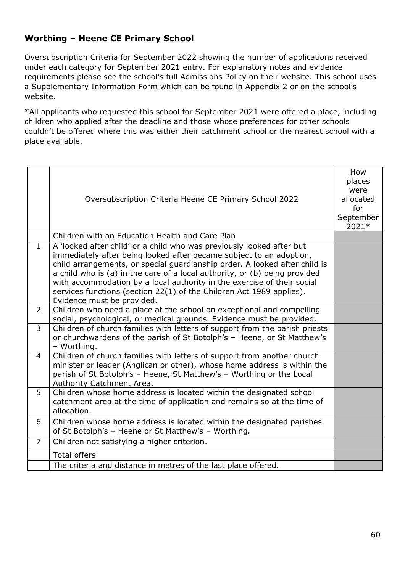### <span id="page-59-0"></span>**Worthing – Heene CE Primary School**

Oversubscription Criteria for September 2022 showing the number of applications received under each category for September 2021 entry. For explanatory notes and evidence requirements please see the school's full Admissions Policy on their website. This school uses a Supplementary Information Form which can be found in Appendix 2 or on the school's website.

|                | Oversubscription Criteria Heene CE Primary School 2022                                                                                                                                                                                                                                                                                                                                                                                                                                    | How<br>places<br>were<br>allocated<br>for<br>September<br>2021* |
|----------------|-------------------------------------------------------------------------------------------------------------------------------------------------------------------------------------------------------------------------------------------------------------------------------------------------------------------------------------------------------------------------------------------------------------------------------------------------------------------------------------------|-----------------------------------------------------------------|
|                | Children with an Education Health and Care Plan                                                                                                                                                                                                                                                                                                                                                                                                                                           |                                                                 |
| $\mathbf{1}$   | A 'looked after child' or a child who was previously looked after but<br>immediately after being looked after became subject to an adoption,<br>child arrangements, or special guardianship order. A looked after child is<br>a child who is (a) in the care of a local authority, or (b) being provided<br>with accommodation by a local authority in the exercise of their social<br>services functions (section 22(1) of the Children Act 1989 applies).<br>Evidence must be provided. |                                                                 |
| $\overline{2}$ | Children who need a place at the school on exceptional and compelling<br>social, psychological, or medical grounds. Evidence must be provided.                                                                                                                                                                                                                                                                                                                                            |                                                                 |
| $\overline{3}$ | Children of church families with letters of support from the parish priests<br>or churchwardens of the parish of St Botolph's - Heene, or St Matthew's<br>- Worthing.                                                                                                                                                                                                                                                                                                                     |                                                                 |
| $\overline{4}$ | Children of church families with letters of support from another church<br>minister or leader (Anglican or other), whose home address is within the<br>parish of St Botolph's - Heene, St Matthew's - Worthing or the Local<br>Authority Catchment Area.                                                                                                                                                                                                                                  |                                                                 |
| 5              | Children whose home address is located within the designated school<br>catchment area at the time of application and remains so at the time of<br>allocation.                                                                                                                                                                                                                                                                                                                             |                                                                 |
| 6              | Children whose home address is located within the designated parishes<br>of St Botolph's - Heene or St Matthew's - Worthing.                                                                                                                                                                                                                                                                                                                                                              |                                                                 |
| $\overline{7}$ | Children not satisfying a higher criterion.                                                                                                                                                                                                                                                                                                                                                                                                                                               |                                                                 |
|                | <b>Total offers</b>                                                                                                                                                                                                                                                                                                                                                                                                                                                                       |                                                                 |
|                | The criteria and distance in metres of the last place offered.                                                                                                                                                                                                                                                                                                                                                                                                                            |                                                                 |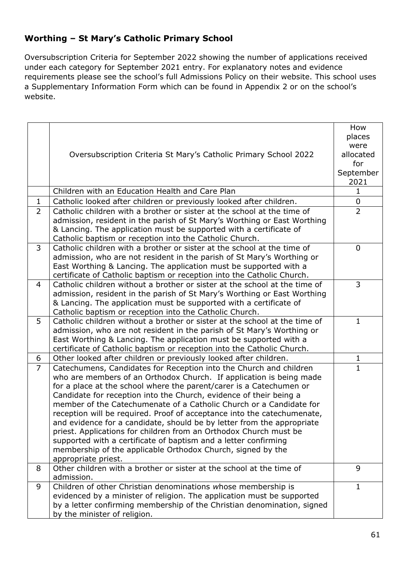### <span id="page-60-0"></span>**Worthing – St Mary's Catholic Primary School**

Oversubscription Criteria for September 2022 showing the number of applications received under each category for September 2021 entry. For explanatory notes and evidence requirements please see the school's full Admissions Policy on their website. This school uses a Supplementary Information Form which can be found in Appendix 2 or on the school's website.

|                |                                                                                             | How            |
|----------------|---------------------------------------------------------------------------------------------|----------------|
|                |                                                                                             | places         |
|                |                                                                                             | were           |
|                | Oversubscription Criteria St Mary's Catholic Primary School 2022                            | allocated      |
|                |                                                                                             | for            |
|                |                                                                                             | September      |
|                |                                                                                             | 2021           |
|                | Children with an Education Health and Care Plan                                             | 1              |
| $\mathbf{1}$   | Catholic looked after children or previously looked after children.                         | $\mathbf 0$    |
| $\overline{2}$ | Catholic children with a brother or sister at the school at the time of                     | $\overline{2}$ |
|                | admission, resident in the parish of St Mary's Worthing or East Worthing                    |                |
|                | & Lancing. The application must be supported with a certificate of                          |                |
|                | Catholic baptism or reception into the Catholic Church.                                     |                |
| 3              | Catholic children with a brother or sister at the school at the time of                     | $\mathbf 0$    |
|                | admission, who are not resident in the parish of St Mary's Worthing or                      |                |
|                | East Worthing & Lancing. The application must be supported with a                           |                |
|                | certificate of Catholic baptism or reception into the Catholic Church.                      |                |
| 4              | Catholic children without a brother or sister at the school at the time of                  | 3              |
|                | admission, resident in the parish of St Mary's Worthing or East Worthing                    |                |
|                | & Lancing. The application must be supported with a certificate of                          |                |
|                | Catholic baptism or reception into the Catholic Church.                                     |                |
| 5              | Catholic children without a brother or sister at the school at the time of                  | $\mathbf 1$    |
|                | admission, who are not resident in the parish of St Mary's Worthing or                      |                |
|                | East Worthing & Lancing. The application must be supported with a                           |                |
|                | certificate of Catholic baptism or reception into the Catholic Church.                      |                |
| 6              | Other looked after children or previously looked after children.                            | 1              |
| $\overline{7}$ | Catechumens, Candidates for Reception into the Church and children                          | $\mathbf{1}$   |
|                | who are members of an Orthodox Church. If application is being made                         |                |
|                | for a place at the school where the parent/carer is a Catechumen or                         |                |
|                | Candidate for reception into the Church, evidence of their being a                          |                |
|                | member of the Catechumenate of a Catholic Church or a Candidate for                         |                |
|                | reception will be required. Proof of acceptance into the catechumenate,                     |                |
|                | and evidence for a candidate, should be by letter from the appropriate                      |                |
|                | priest. Applications for children from an Orthodox Church must be                           |                |
|                | supported with a certificate of baptism and a letter confirming                             |                |
|                | membership of the applicable Orthodox Church, signed by the                                 |                |
|                | appropriate priest.<br>Other children with a brother or sister at the school at the time of | 9              |
| 8              | admission.                                                                                  |                |
| 9              | Children of other Christian denominations whose membership is                               | $\mathbf{1}$   |
|                | evidenced by a minister of religion. The application must be supported                      |                |
|                | by a letter confirming membership of the Christian denomination, signed                     |                |
|                | by the minister of religion.                                                                |                |
|                |                                                                                             |                |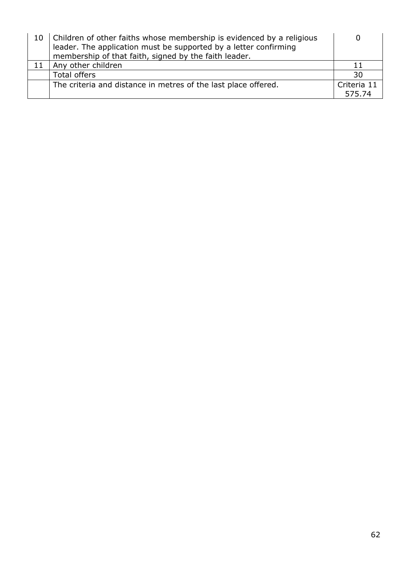| 10 | Children of other faiths whose membership is evidenced by a religious<br>leader. The application must be supported by a letter confirming<br>membership of that faith, signed by the faith leader. |             |
|----|----------------------------------------------------------------------------------------------------------------------------------------------------------------------------------------------------|-------------|
|    | Any other children                                                                                                                                                                                 |             |
|    | <b>Total offers</b>                                                                                                                                                                                | 30          |
|    | The criteria and distance in metres of the last place offered.                                                                                                                                     | Criteria 11 |
|    |                                                                                                                                                                                                    | 575.74      |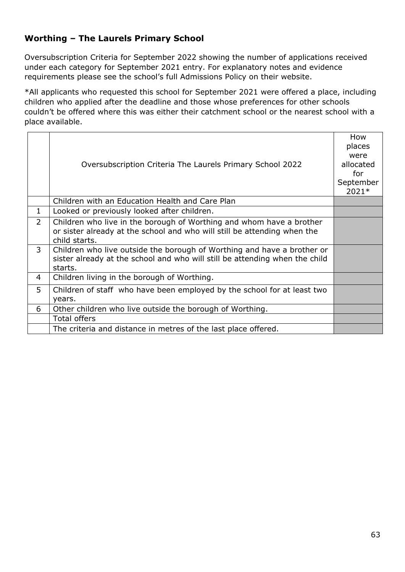### <span id="page-62-0"></span>**Worthing – The Laurels Primary School**

Oversubscription Criteria for September 2022 showing the number of applications received under each category for September 2021 entry. For explanatory notes and evidence requirements please see the school's full Admissions Policy on their website.

|                | Oversubscription Criteria The Laurels Primary School 2022                                                                                                         | How<br>places<br>were<br>allocated<br>for<br>September<br>2021* |
|----------------|-------------------------------------------------------------------------------------------------------------------------------------------------------------------|-----------------------------------------------------------------|
|                | Children with an Education Health and Care Plan                                                                                                                   |                                                                 |
| 1              | Looked or previously looked after children.                                                                                                                       |                                                                 |
| $\overline{2}$ | Children who live in the borough of Worthing and whom have a brother<br>or sister already at the school and who will still be attending when the<br>child starts. |                                                                 |
| $\mathbf{3}$   | Children who live outside the borough of Worthing and have a brother or<br>sister already at the school and who will still be attending when the child<br>starts. |                                                                 |
| 4              | Children living in the borough of Worthing.                                                                                                                       |                                                                 |
| 5              | Children of staff who have been employed by the school for at least two<br>years.                                                                                 |                                                                 |
| 6              | Other children who live outside the borough of Worthing.                                                                                                          |                                                                 |
|                | <b>Total offers</b>                                                                                                                                               |                                                                 |
|                | The criteria and distance in metres of the last place offered.                                                                                                    |                                                                 |